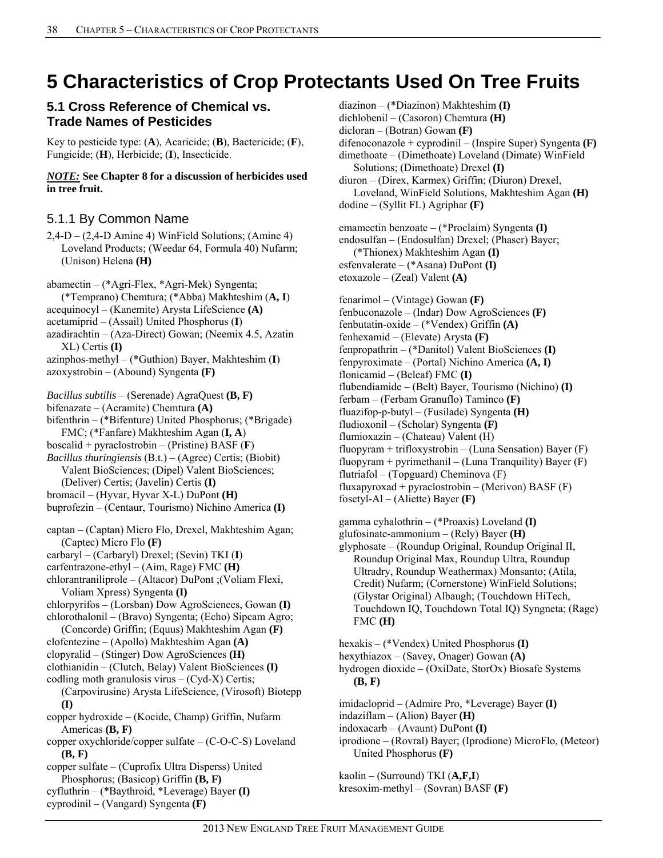# **5 Characteristics of Crop Protectants Used On Tree Fruits**

### **5.1 Cross Reference of Chemical vs. Trade Names of Pesticides**

Key to pesticide type: (**A**), Acaricide; (**B**), Bactericide; (**F**), Fungicide; (**H**), Herbicide; (**I**), Insecticide.

*NOTE:* **See Chapter 8 for a discussion of herbicides used in tree fruit.** 

# 5.1.1 By Common Name

 $2,4$ -D –  $(2,4$ -D Amine 4) WinField Solutions; (Amine 4) Loveland Products; (Weedar 64, Formula 40) Nufarm; (Unison) Helena **(H)** 

abamectin – (\*Agri-Flex, \*Agri-Mek) Syngenta; (\*Temprano) Chemtura; (\*Abba) Makhteshim (**A, I**) acequinocyl – (Kanemite) Arysta LifeScience **(A)**  acetamiprid – (Assail) United Phosphorus (**I**) azadirachtin – (Aza-Direct) Gowan; (Neemix 4.5, Azatin XL) Certis **(I)** azinphos-methyl – (\*Guthion) Bayer, Makhteshim (**I**) azoxystrobin – (Abound) Syngenta **(F)**  *Bacillus subtilis* – (Serenade) AgraQuest **(B, F)** bifenazate – (Acramite) Chemtura **(A)**  bifenthrin – (\*Bifenture) United Phosphorus; (\*Brigade) FMC; (\*Fanfare) Makhteshim Agan (**I, A**) boscalid + pyraclostrobin – (Pristine) BASF (**F**) *Bacillus thuringiensis* (B.t.) – (Agree) Certis; (Biobit) Valent BioSciences; (Dipel) Valent BioSciences; (Deliver) Certis; (Javelin) Certis **(I)** bromacil – (Hyvar, Hyvar X-L) DuPont **(H)**  buprofezin – (Centaur, Tourismo) Nichino America **(I)** captan – (Captan) Micro Flo, Drexel, Makhteshim Agan; (Captec) Micro Flo **(F)**  carbaryl – (Carbaryl) Drexel; (Sevin) TKI (**I**) carfentrazone-ethyl – (Aim, Rage) FMC **(H)**  chlorantraniliprole – (Altacor) DuPont ;(Voliam Flexi, Voliam Xpress) Syngenta **(I)**  chlorpyrifos – (Lorsban) Dow AgroSciences, Gowan **(I)** chlorothalonil – (Bravo) Syngenta; (Echo) Sipcam Agro; (Concorde) Griffin; (Equus) Makhteshim Agan **(F)**  clofentezine – (Apollo) Makhteshim Agan **(A)**  clopyralid – (Stinger) Dow AgroSciences **(H)**  clothianidin – (Clutch, Belay) Valent BioSciences **(I)**  codling moth granulosis virus  $-(cyd-X)$  Certis; (Carpovirusine) Arysta LifeScience, (Virosoft) Biotepp **(I)**  copper hydroxide – (Kocide, Champ) Griffin, Nufarm Americas **(B, F)** copper oxychloride/copper sulfate – (C-O-C-S) Loveland **(B, F)** copper sulfate – (Cuprofix Ultra Disperss) United Phosphorus; (Basicop) Griffin **(B, F)**  cyfluthrin – (\*Baythroid, \*Leverage) Bayer **(I)**  cyprodinil – (Vangard) Syngenta **(F)** 

diazinon – (\*Diazinon) Makhteshim **(I)**  dichlobenil – (Casoron) Chemtura **(H)**  dicloran – (Botran) Gowan **(F)**  difenoconazole + cyprodinil – (Inspire Super) Syngenta **(F)**  dimethoate – (Dimethoate) Loveland (Dimate) WinField Solutions; (Dimethoate) Drexel **(I)**  diuron – (Direx, Karmex) Griffin; (Diuron) Drexel, Loveland, WinField Solutions, Makhteshim Agan **(H)**  dodine – (Syllit FL) Agriphar **(F)**  emamectin benzoate – (\*Proclaim) Syngenta **(I)**  endosulfan – (Endosulfan) Drexel; (Phaser) Bayer; (\*Thionex) Makhteshim Agan **(I)**  esfenvalerate – (\*Asana) DuPont **(I)**  etoxazole – (Zeal) Valent **(A)**  fenarimol – (Vintage) Gowan **(F)**  fenbuconazole – (Indar) Dow AgroSciences **(F)**  fenbutatin-oxide – (\*Vendex) Griffin **(A)**  fenhexamid – (Elevate) Arysta **(F)**  fenpropathrin – (\*Danitol) Valent BioSciences **(I)**  fenpyroximate – (Portal) Nichino America **(A, I)**  flonicamid – (Beleaf) FMC **(I)**  flubendiamide – (Belt) Bayer, Tourismo (Nichino) **(I)**  ferbam – (Ferbam Granuflo) Taminco **(F)**  fluazifop-p-butyl – (Fusilade) Syngenta **(H)**  fludioxonil – (Scholar) Syngenta **(F)**  flumioxazin – (Chateau) Valent (H) fluopyram + trifloxystrobin – (Luna Sensation) Bayer  $(F)$ fluopyram + pyrimethanil – (Luna Tranquility) Bayer  $(F)$ flutriafol – (Topguard) Cheminova (F) fluxapyroxad + pyraclostrobin – (Merivon) BASF  $(F)$ fosetyl-Al – (Aliette) Bayer **(F)**  gamma cyhalothrin – (\*Proaxis) Loveland **(I)**  glufosinate-ammonium – (Rely) Bayer **(H)** 

glyphosate – (Roundup Original, Roundup Original II, Roundup Original Max, Roundup Ultra, Roundup Ultradry, Roundup Weathermax) Monsanto; (Atila, Credit) Nufarm; (Cornerstone) WinField Solutions; (Glystar Original) Albaugh; (Touchdown HiTech, Touchdown IQ, Touchdown Total IQ) Syngneta; (Rage) FMC **(H)** 

hexakis – (\*Vendex) United Phosphorus **(I)**  hexythiazox – (Savey, Onager) Gowan **(A)** 

hydrogen dioxide – (OxiDate, StorOx) Biosafe Systems **(B, F)** 

- imidacloprid (Admire Pro, \*Leverage) Bayer **(I)**
- indaziflam (Alion) Bayer **(H)**
- indoxacarb (Avaunt) DuPont **(I)**
- iprodione (Rovral) Bayer; (Iprodione) MicroFlo, (Meteor) United Phosphorus **(F)**

kaolin – (Surround) TKI (**A,F,I**) kresoxim-methyl – (Sovran) BASF **(F)**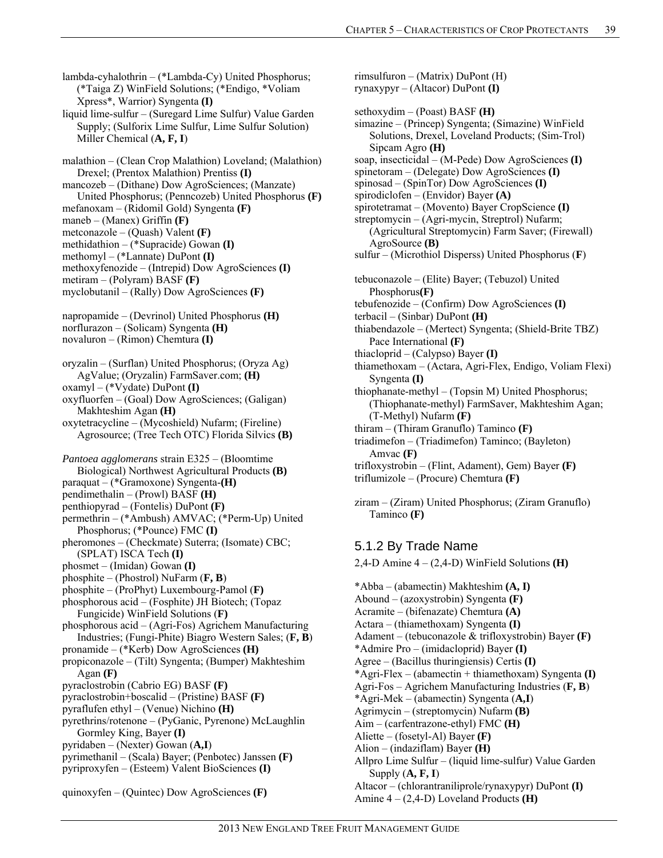lambda-cyhalothrin – (\*Lambda-Cy) United Phosphorus; (\*Taiga Z) WinField Solutions; (\*Endigo, \*Voliam Xpress\*, Warrior) Syngenta **(I)** 

liquid lime-sulfur – (Suregard Lime Sulfur) Value Garden Supply; (Sulforix Lime Sulfur, Lime Sulfur Solution) Miller Chemical (**A, F, I**)

malathion – (Clean Crop Malathion) Loveland; (Malathion) Drexel; (Prentox Malathion) Prentiss **(I)**  mancozeb – (Dithane) Dow AgroSciences; (Manzate)

- United Phosphorus; (Penncozeb) United Phosphorus **(F)**
- mefanoxam (Ridomil Gold) Syngenta **(F)**
- maneb (Manex) Griffin **(F)**
- metconazole (Quash) Valent **(F)**
- methidathion (\*Supracide) Gowan **(I)**
- methomyl (\*Lannate) DuPont **(I)**
- methoxyfenozide (Intrepid) Dow AgroSciences **(I)**
- metiram (Polyram) BASF **(F)**

myclobutanil – (Rally) Dow AgroSciences **(F)** 

- napropamide (Devrinol) United Phosphorus **(H)**  norflurazon – (Solicam) Syngenta **(H)**  novaluron – (Rimon) Chemtura **(I)**
- oryzalin (Surflan) United Phosphorus; (Oryza Ag) AgValue; (Oryzalin) FarmSaver.com; **(H)**
- oxamyl (\*Vydate) DuPont **(I)**
- oxyfluorfen (Goal) Dow AgroSciences; (Galigan) Makhteshim Agan **(H)**
- oxytetracycline (Mycoshield) Nufarm; (Fireline) Agrosource; (Tree Tech OTC) Florida Silvics **(B)**
- *Pantoea agglomerans* strain E325 (Bloomtime
- Biological) Northwest Agricultural Products **(B)**
- paraquat (\*Gramoxone) Syngenta-**(H)**
- pendimethalin (Prowl) BASF **(H)**  penthiopyrad – (Fontelis) DuPont **(F)**
- permethrin (\*Ambush) AMVAC; (\*Perm-Up) United
- Phosphorus; (\*Pounce) FMC **(I)**
- pheromones (Checkmate) Suterra; (Isomate) CBC; (SPLAT) ISCA Tech **(I)**
- phosmet (Imidan) Gowan **(I)**
- phosphite (Phostrol) NuFarm (**F, B**)
- phosphite (ProPhyt) Luxembourg-Pamol (**F)**
- phosphorous acid (Fosphite) JH Biotech; (Topaz Fungicide) WinField Solutions (**F)**
- phosphorous acid (Agri-Fos) Agrichem Manufacturing Industries; (Fungi-Phite) Biagro Western Sales; (**F, B**)
- pronamide (\*Kerb) Dow AgroSciences **(H)**
- propiconazole (Tilt) Syngenta; (Bumper) Makhteshim Agan **(F)**
- pyraclostrobin (Cabrio EG) BASF **(F)**
- pyraclostrobin+boscalid (Pristine) BASF **(F)**
- pyraflufen ethyl (Venue) Nichino **(H)**
- pyrethrins/rotenone (PyGanic, Pyrenone) McLaughlin Gormley King, Bayer **(I)**
- pyridaben (Nexter) Gowan (**A,I**)
- pyrimethanil (Scala) Bayer; (Penbotec) Janssen **(F)**
- pyriproxyfen (Esteem) Valent BioSciences **(I)**
- quinoxyfen (Quintec) Dow AgroSciences **(F)**

rimsulfuron – (Matrix) DuPont (H) rynaxypyr – (Altacor) DuPont **(I)**  sethoxydim – (Poast) BASF **(H)**  simazine – (Princep) Syngenta; (Simazine) WinField Solutions, Drexel, Loveland Products; (Sim-Trol) Sipcam Agro **(H)**  soap, insecticidal – (M-Pede) Dow AgroSciences **(I)**  spinetoram – (Delegate) Dow AgroSciences **(I)**  spinosad – (SpinTor) Dow AgroSciences **(I)**  spirodiclofen – (Envidor) Bayer **(A)**  spirotetramat – (Movento) Bayer CropScience **(I)**  streptomycin – (Agri-mycin, Streptrol) Nufarm; (Agricultural Streptomycin) Farm Saver; (Firewall) AgroSource **(B)**  sulfur – (Microthiol Disperss) United Phosphorus (**F**) tebuconazole – (Elite) Bayer; (Tebuzol) United Phosphorus**(F)**  tebufenozide – (Confirm) Dow AgroSciences **(I)**  terbacil – (Sinbar) DuPont **(H)**  thiabendazole – (Mertect) Syngenta; (Shield-Brite TBZ) Pace International **(F)**  thiacloprid – (Calypso) Bayer **(I)**  thiamethoxam – (Actara, Agri-Flex, Endigo, Voliam Flexi) Syngenta **(I)**  thiophanate-methyl – (Topsin M) United Phosphorus; (Thiophanate-methyl) FarmSaver, Makhteshim Agan; (T-Methyl) Nufarm **(F)**  thiram – (Thiram Granuflo) Taminco **(F)**  triadimefon – (Triadimefon) Taminco; (Bayleton) Amvac **(F)**  trifloxystrobin – (Flint, Adament), Gem) Bayer **(F)** 

triflumizole – (Procure) Chemtura **(F)** 

ziram – (Ziram) United Phosphorus; (Ziram Granuflo) Taminco **(F)** 

# 5.1.2 By Trade Name

2,4-D Amine 4 – (2,4-D) WinField Solutions **(H)** 

\*Abba – (abamectin) Makhteshim **(A, I)**  Abound – (azoxystrobin) Syngenta **(F)**  Acramite – (bifenazate) Chemtura **(A)**  Actara – (thiamethoxam) Syngenta **(I)**  Adament – (tebuconazole & trifloxystrobin) Bayer **(F)**  \*Admire Pro – (imidacloprid) Bayer **(I)**  Agree – (Bacillus thuringiensis) Certis **(I)**  \*Agri-Flex – (abamectin + thiamethoxam) Syngenta **(I)**  Agri-Fos – Agrichem Manufacturing Industries (**F, B**) \*Agri-Mek – (abamectin) Syngenta (**A,I**) Agrimycin – (streptomycin) Nufarm **(B)**  Aim – (carfentrazone-ethyl) FMC **(H)**  Aliette – (fosetyl-Al) Bayer **(F)**  Alion – (indaziflam) Bayer **(H)**  Allpro Lime Sulfur – (liquid lime-sulfur) Value Garden Supply (**A, F, I**) Altacor – (chlorantraniliprole/rynaxypyr) DuPont **(I)**  Amine 4 – (2,4-D) Loveland Products **(H)**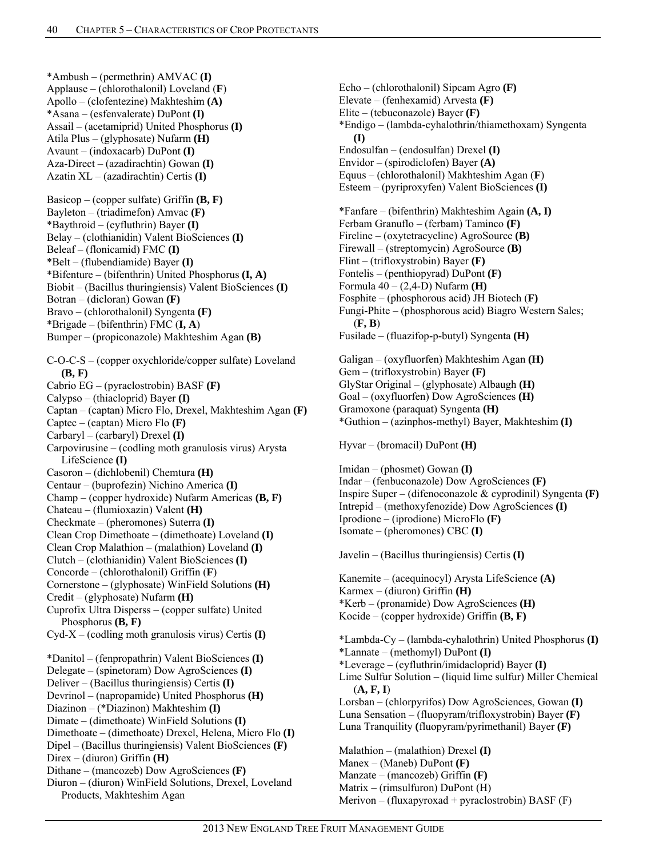\*Ambush – (permethrin) AMVAC **(I)**  Applause – (chlorothalonil) Loveland (**F**) Apollo – (clofentezine) Makhteshim **(A)**  \*Asana – (esfenvalerate) DuPont **(I)**  Assail – (acetamiprid) United Phosphorus **(I)**  Atila Plus – (glyphosate) Nufarm **(H)**  Avaunt – (indoxacarb) DuPont **(I)**  Aza-Direct – (azadirachtin) Gowan **(I)**  Azatin XL – (azadirachtin) Certis **(I)** 

Basicop – (copper sulfate) Griffin **(B, F)**  Bayleton – (triadimefon) Amvac **(F)**  \*Baythroid – (cyfluthrin) Bayer **(I)**  Belay – (clothianidin) Valent BioSciences **(I)**  Beleaf – (flonicamid) FMC **(I)**  \*Belt – (flubendiamide) Bayer **(I)**  \*Bifenture – (bifenthrin) United Phosphorus **(I, A)**  Biobit – (Bacillus thuringiensis) Valent BioSciences **(I)**  Botran – (dicloran) Gowan **(F)**  Bravo – (chlorothalonil) Syngenta **(F)**  \*Brigade – (bifenthrin) FMC (**I, A**) Bumper – (propiconazole) Makhteshim Agan **(B)** 

C-O-C-S – (copper oxychloride/copper sulfate) Loveland **(B, F)**  Cabrio EG – (pyraclostrobin) BASF **(F)**  Calypso – (thiacloprid) Bayer **(I)**  Captan – (captan) Micro Flo, Drexel, Makhteshim Agan **(F)**  Captec – (captan) Micro Flo **(F)** Carbaryl – (carbaryl) Drexel **(I)**  Carpovirusine – (codling moth granulosis virus) Arysta LifeScience **(I)**  Casoron – (dichlobenil) Chemtura **(H)**  Centaur – (buprofezin) Nichino America **(I)**  Champ – (copper hydroxide) Nufarm Americas **(B, F)** Chateau – (flumioxazin) Valent **(H)**  Checkmate – (pheromones) Suterra **(I)** Clean Crop Dimethoate – (dimethoate) Loveland **(I)**  Clean Crop Malathion – (malathion) Loveland **(I)**  Clutch – (clothianidin) Valent BioSciences **(I)** Concorde – (chlorothalonil) Griffin (**F**) Cornerstone – (glyphosate) WinField Solutions **(H)**  Credit – (glyphosate) Nufarm **(H)** Cuprofix Ultra Disperss – (copper sulfate) United Phosphorus **(B, F)**  Cyd-X – (codling moth granulosis virus) Certis **(I)**  \*Danitol – (fenpropathrin) Valent BioSciences **(I)**  Delegate – (spinetoram) Dow AgroSciences **(I)** Deliver – (Bacillus thuringiensis) Certis **(I)**  Devrinol – (napropamide) United Phosphorus **(H)**  Diazinon – (\*Diazinon) Makhteshim **(I)**  Dimate – (dimethoate) WinField Solutions **(I)**  Dimethoate – (dimethoate) Drexel, Helena, Micro Flo **(I)**  Dipel – (Bacillus thuringiensis) Valent BioSciences **(F)**  Direx – (diuron) Griffin **(H)**  Dithane – (mancozeb) Dow AgroSciences **(F)**  Diuron – (diuron) WinField Solutions, Drexel, Loveland Products, Makhteshim Agan

Elite – (tebuconazole) Bayer **(F)**  \*Endigo – (lambda-cyhalothrin/thiamethoxam) Syngenta **(I)**  Endosulfan – (endosulfan) Drexel **(I)**  Envidor – (spirodiclofen) Bayer **(A)** Equus – (chlorothalonil) Makhteshim Agan (**F**) Esteem – (pyriproxyfen) Valent BioSciences **(I)**  \*Fanfare – (bifenthrin) Makhteshim Again **(A, I)** Ferbam Granuflo – (ferbam) Taminco **(F)**  Fireline – (oxytetracycline) AgroSource **(B)**  Firewall – (streptomycin) AgroSource **(B)**  Flint – (trifloxystrobin) Bayer **(F)**  Fontelis – (penthiopyrad) DuPont **(F)**  Formula 40 – (2,4-D) Nufarm **(H)**  Fosphite – (phosphorous acid) JH Biotech (**F)** Fungi-Phite – (phosphorous acid) Biagro Western Sales; (**F, B**) Fusilade – (fluazifop-p-butyl) Syngenta **(H)**  Galigan – (oxyfluorfen) Makhteshim Agan **(H)**  Gem – (trifloxystrobin) Bayer **(F)**  GlyStar Original – (glyphosate) Albaugh **(H)**  Goal – (oxyfluorfen) Dow AgroSciences **(H)**  Gramoxone (paraquat) Syngenta **(H)**  \*Guthion – (azinphos-methyl) Bayer, Makhteshim **(I)**  Hyvar – (bromacil) DuPont **(H)**  Imidan – (phosmet) Gowan **(I)**  Indar – (fenbuconazole) Dow AgroSciences **(F)**  Inspire Super – (difenoconazole & cyprodinil) Syngenta **(F)**  Intrepid – (methoxyfenozide) Dow AgroSciences **(I)**  Iprodione – (iprodione) MicroFlo **(F)** Isomate – (pheromones) CBC **(I)**  Javelin – (Bacillus thuringiensis) Certis **(I)**  Kanemite – (acequinocyl) Arysta LifeScience **(A)**  Karmex – (diuron) Griffin **(H)**  \*Kerb – (pronamide) Dow AgroSciences **(H)**  Kocide – (copper hydroxide) Griffin **(B, F)**  \*Lambda-Cy – (lambda-cyhalothrin) United Phosphorus **(I)**  \*Lannate – (methomyl) DuPont **(I)**  \*Leverage – (cyfluthrin/imidacloprid) Bayer **(I)**  Lime Sulfur Solution – (liquid lime sulfur) Miller Chemical (**A, F, I**) Lorsban – (chlorpyrifos) Dow AgroSciences, Gowan **(I)**  Luna Sensation – (fluopyram/trifloxystrobin) Bayer **(F)** Luna Tranquility **(**fluopyram/pyrimethanil) Bayer **(F)**  Malathion – (malathion) Drexel **(I)**  Manex – (Maneb) DuPont **(F)** 

Echo – (chlorothalonil) Sipcam Agro **(F)**  Elevate – (fenhexamid) Arvesta **(F)** 

Manzate – (mancozeb) Griffin **(F)**  Matrix – (rimsulfuron) DuPont (H)

Merivon – (fluxapyroxad + pyraclostrobin) BASF  $(F)$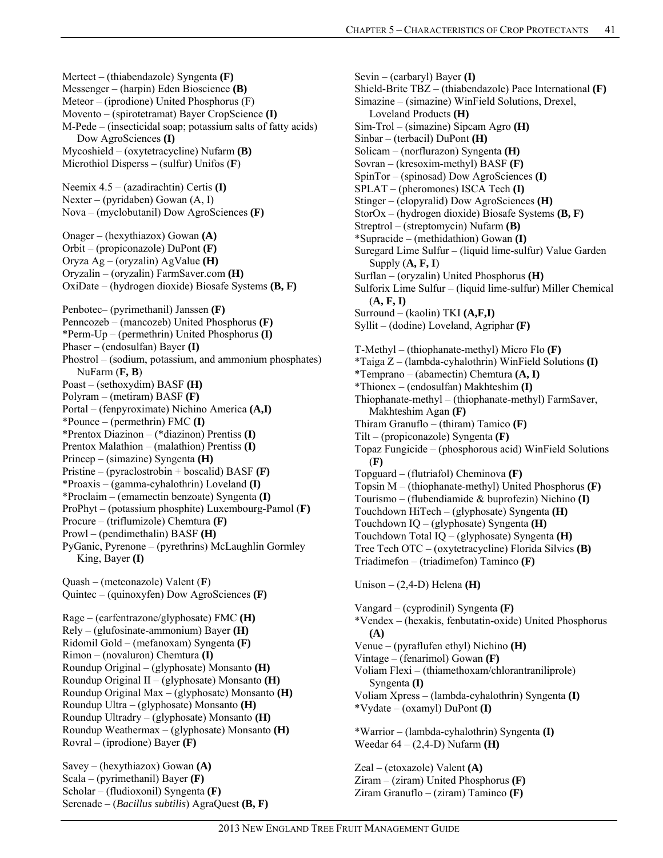Mertect – (thiabendazole) Syngenta **(F)**  Messenger – (harpin) Eden Bioscience **(B)**  Meteor – (iprodione) United Phosphorus (F) Movento – (spirotetramat) Bayer CropScience **(I)**  M-Pede – (insecticidal soap; potassium salts of fatty acids) Dow AgroSciences **(I)**  Mycoshield – (oxytetracycline) Nufarm **(B)**  Microthiol Disperss – (sulfur) Unifos (**F**) Neemix 4.5 – (azadirachtin) Certis **(I)**  Nexter – (pyridaben) Gowan (A, I) Nova – (myclobutanil) Dow AgroSciences **(F)**  Onager – (hexythiazox) Gowan **(A)**  Orbit – (propiconazole) DuPont **(F)**  Oryza Ag – (oryzalin) AgValue **(H)**  Oryzalin – (oryzalin) FarmSaver.com **(H)**  OxiDate – (hydrogen dioxide) Biosafe Systems **(B, F)**  Penbotec– (pyrimethanil) Janssen **(F)**  Penncozeb – (mancozeb) United Phosphorus **(F)**  \*Perm-Up – (permethrin) United Phosphorus **(I)**  Phaser – (endosulfan) Bayer **(I)**  Phostrol – (sodium, potassium, and ammonium phosphates) NuFarm (**F, B**) Poast – (sethoxydim) BASF **(H)**  Polyram – (metiram) BASF **(F)**  Portal – (fenpyroximate) Nichino America **(A,I)**  \*Pounce – (permethrin) FMC **(I)**  \*Prentox Diazinon – (\*diazinon) Prentiss **(I)**  Prentox Malathion – (malathion) Prentiss **(I)**  Princep – (simazine) Syngenta **(H)**  Pristine – (pyraclostrobin + boscalid) BASF **(F)**  \*Proaxis – (gamma-cyhalothrin) Loveland **(I)**  \*Proclaim – (emamectin benzoate) Syngenta **(I)**  ProPhyt – (potassium phosphite) Luxembourg-Pamol (**F)** Procure – (triflumizole) Chemtura **(F)**  Prowl – (pendimethalin) BASF **(H)**  PyGanic, Pyrenone – (pyrethrins) McLaughlin Gormley King, Bayer **(I)**  Quash – (metconazole) Valent (**F**) Quintec – (quinoxyfen) Dow AgroSciences **(F)**  Rage – (carfentrazone/glyphosate) FMC **(H)**  Rely – (glufosinate-ammonium) Bayer **(H)**  Ridomil Gold – (mefanoxam) Syngenta **(F)**  Rimon – (novaluron) Chemtura **(I)**  Roundup Original – (glyphosate) Monsanto **(H)**  Roundup Original II – (glyphosate) Monsanto **(H)**  Roundup Original Max – (glyphosate) Monsanto **(H)**  Roundup Ultra – (glyphosate) Monsanto **(H)**  Roundup Ultradry – (glyphosate) Monsanto **(H)**  Roundup Weathermax – (glyphosate) Monsanto **(H)**  Rovral – (iprodione) Bayer **(F)**  Savey – (hexythiazox) Gowan **(A)** 

Scala – (pyrimethanil) Bayer **(F)**  Scholar – (fludioxonil) Syngenta **(F)**  Serenade – (*Bacillus subtilis*) AgraQuest **(B, F)** Sevin – (carbaryl) Bayer **(I)**  Shield-Brite TBZ – (thiabendazole) Pace International **(F)**  Simazine – (simazine) WinField Solutions, Drexel, Loveland Products **(H)**  Sim-Trol – (simazine) Sipcam Agro **(H)**  Sinbar – (terbacil) DuPont **(H)**  Solicam – (norflurazon) Syngenta **(H)**  Sovran – (kresoxim-methyl) BASF **(F)**  SpinTor – (spinosad) Dow AgroSciences **(I)**  SPLAT – (pheromones) ISCA Tech **(I)**  Stinger – (clopyralid) Dow AgroSciences **(H)**  StorOx – (hydrogen dioxide) Biosafe Systems **(B, F)**  Streptrol – (streptomycin) Nufarm **(B)**  \*Supracide – (methidathion) Gowan **(I)**  Suregard Lime Sulfur – (liquid lime-sulfur) Value Garden Supply (**A, F, I**) Surflan – (oryzalin) United Phosphorus **(H)**  Sulforix Lime Sulfur – (liquid lime-sulfur) Miller Chemical (**A, F, I)** Surround – (kaolin) TKI **(A,F,I)** Syllit – (dodine) Loveland, Agriphar **(F)**  T-Methyl – (thiophanate-methyl) Micro Flo **(F)**  \*Taiga Z – (lambda-cyhalothrin) WinField Solutions **(I)**  \*Temprano – (abamectin) Chemtura **(A, I)**  \*Thionex – (endosulfan) Makhteshim **(I)**  Thiophanate-methyl – (thiophanate-methyl) FarmSaver, Makhteshim Agan **(F)**  Thiram Granuflo – (thiram) Tamico **(F)**  Tilt – (propiconazole) Syngenta **(F)**  Topaz Fungicide – (phosphorous acid) WinField Solutions (**F)**  Topguard – (flutriafol) Cheminova **(F)** Topsin M – (thiophanate-methyl) United Phosphorus **(F)**  Tourismo – (flubendiamide & buprofezin) Nichino **(I)**  Touchdown HiTech – (glyphosate) Syngenta **(H)**  Touchdown IQ – (glyphosate) Syngenta **(H)**  Touchdown Total IQ – (glyphosate) Syngenta **(H)**  Tree Tech OTC – (oxytetracycline) Florida Silvics **(B)**  Triadimefon – (triadimefon) Taminco **(F)**  Unison – (2,4-D) Helena **(H)**  Vangard – (cyprodinil) Syngenta **(F)**  \*Vendex – (hexakis, fenbutatin-oxide) United Phosphorus **(A)**  Venue – (pyraflufen ethyl) Nichino **(H)**  Vintage – (fenarimol) Gowan **(F)**  Voliam Flexi – (thiamethoxam/chlorantraniliprole) Syngenta **(I)**  Voliam Xpress – (lambda-cyhalothrin) Syngenta **(I)**  \*Vydate – (oxamyl) DuPont **(I)**  \*Warrior – (lambda-cyhalothrin) Syngenta **(I)**  Weedar 64 – (2,4-D) Nufarm **(H)**  Zeal – (etoxazole) Valent **(A)**  Ziram – (ziram) United Phosphorus **(F)**  Ziram Granuflo – (ziram) Taminco **(F)**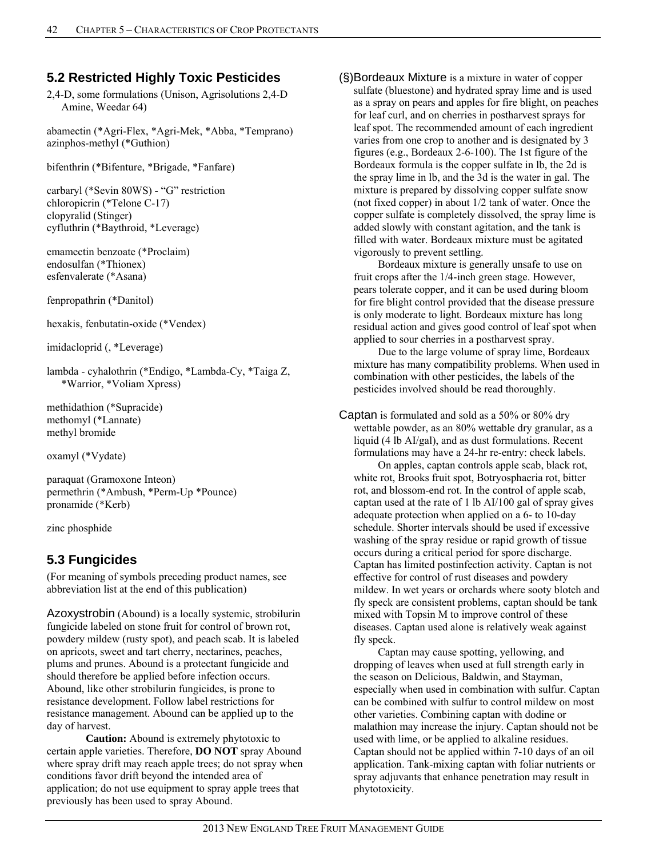# **5.2 Restricted Highly Toxic Pesticides**

2,4-D, some formulations (Unison, Agrisolutions 2,4-D Amine, Weedar 64)

abamectin (\*Agri-Flex, \*Agri-Mek, \*Abba, \*Temprano) azinphos-methyl (\*Guthion)

bifenthrin (\*Bifenture, \*Brigade, \*Fanfare)

carbaryl (\*Sevin 80WS) - "G" restriction chloropicrin (\*Telone C-17) clopyralid (Stinger) cyfluthrin (\*Baythroid, \*Leverage)

emamectin benzoate (\*Proclaim) endosulfan (\*Thionex) esfenvalerate (\*Asana)

fenpropathrin (\*Danitol)

hexakis, fenbutatin-oxide (\*Vendex)

imidacloprid (, \*Leverage)

lambda - cyhalothrin (\*Endigo, \*Lambda-Cy, \*Taiga Z, \*Warrior, \*Voliam Xpress)

methidathion (\*Supracide) methomyl (\*Lannate) methyl bromide

oxamyl (\*Vydate)

paraquat (Gramoxone Inteon) permethrin (\*Ambush, \*Perm-Up \*Pounce) pronamide (\*Kerb)

zinc phosphide

# **5.3 Fungicides**

(For meaning of symbols preceding product names, see abbreviation list at the end of this publication)

Azoxystrobin (Abound) is a locally systemic, strobilurin fungicide labeled on stone fruit for control of brown rot, powdery mildew (rusty spot), and peach scab. It is labeled on apricots, sweet and tart cherry, nectarines, peaches, plums and prunes. Abound is a protectant fungicide and should therefore be applied before infection occurs. Abound, like other strobilurin fungicides, is prone to resistance development. Follow label restrictions for resistance management. Abound can be applied up to the day of harvest.

 **Caution:** Abound is extremely phytotoxic to certain apple varieties. Therefore, **DO NOT** spray Abound where spray drift may reach apple trees; do not spray when conditions favor drift beyond the intended area of application; do not use equipment to spray apple trees that previously has been used to spray Abound.

(§)Bordeaux Mixture is a mixture in water of copper sulfate (bluestone) and hydrated spray lime and is used as a spray on pears and apples for fire blight, on peaches for leaf curl, and on cherries in postharvest sprays for leaf spot. The recommended amount of each ingredient varies from one crop to another and is designated by 3 figures (e.g., Bordeaux 2-6-100). The 1st figure of the Bordeaux formula is the copper sulfate in lb, the 2d is the spray lime in lb, and the 3d is the water in gal. The mixture is prepared by dissolving copper sulfate snow (not fixed copper) in about 1/2 tank of water. Once the copper sulfate is completely dissolved, the spray lime is added slowly with constant agitation, and the tank is filled with water. Bordeaux mixture must be agitated vigorously to prevent settling.

 Bordeaux mixture is generally unsafe to use on fruit crops after the 1/4-inch green stage. However, pears tolerate copper, and it can be used during bloom for fire blight control provided that the disease pressure is only moderate to light. Bordeaux mixture has long residual action and gives good control of leaf spot when applied to sour cherries in a postharvest spray.

 Due to the large volume of spray lime, Bordeaux mixture has many compatibility problems. When used in combination with other pesticides, the labels of the pesticides involved should be read thoroughly.

Captan is formulated and sold as a 50% or 80% dry wettable powder, as an 80% wettable dry granular, as a liquid (4 lb AI/gal), and as dust formulations. Recent formulations may have a 24-hr re-entry: check labels.

 On apples, captan controls apple scab, black rot, white rot, Brooks fruit spot, Botryosphaeria rot, bitter rot, and blossom-end rot. In the control of apple scab, captan used at the rate of 1 lb AI/100 gal of spray gives adequate protection when applied on a 6- to 10-day schedule. Shorter intervals should be used if excessive washing of the spray residue or rapid growth of tissue occurs during a critical period for spore discharge. Captan has limited postinfection activity. Captan is not effective for control of rust diseases and powdery mildew. In wet years or orchards where sooty blotch and fly speck are consistent problems, captan should be tank mixed with Topsin M to improve control of these diseases. Captan used alone is relatively weak against fly speck.

 Captan may cause spotting, yellowing, and dropping of leaves when used at full strength early in the season on Delicious, Baldwin, and Stayman, especially when used in combination with sulfur. Captan can be combined with sulfur to control mildew on most other varieties. Combining captan with dodine or malathion may increase the injury. Captan should not be used with lime, or be applied to alkaline residues. Captan should not be applied within 7-10 days of an oil application. Tank-mixing captan with foliar nutrients or spray adjuvants that enhance penetration may result in phytotoxicity.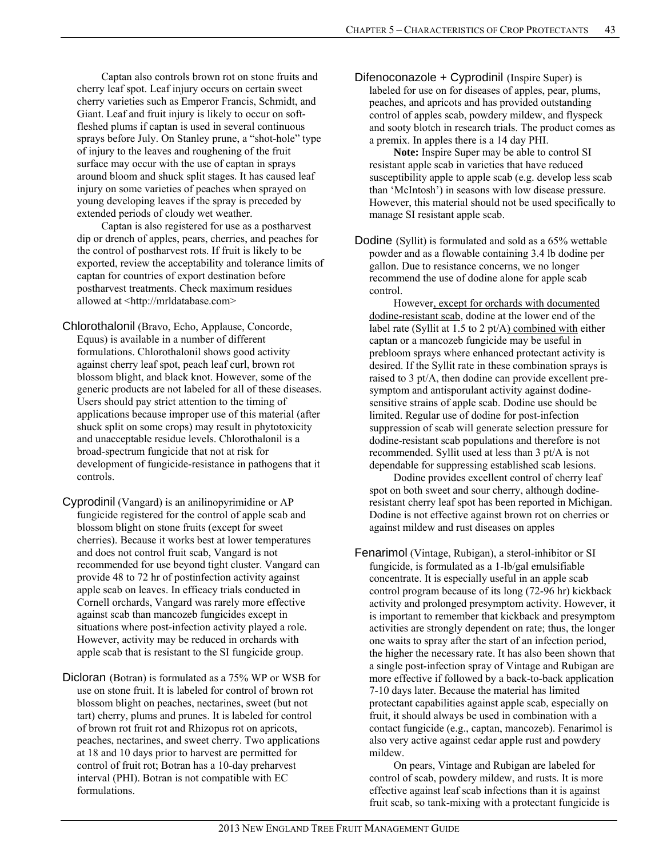Captan also controls brown rot on stone fruits and cherry leaf spot. Leaf injury occurs on certain sweet cherry varieties such as Emperor Francis, Schmidt, and Giant. Leaf and fruit injury is likely to occur on softfleshed plums if captan is used in several continuous sprays before July. On Stanley prune, a "shot-hole" type of injury to the leaves and roughening of the fruit surface may occur with the use of captan in sprays around bloom and shuck split stages. It has caused leaf injury on some varieties of peaches when sprayed on young developing leaves if the spray is preceded by extended periods of cloudy wet weather.

 Captan is also registered for use as a postharvest dip or drench of apples, pears, cherries, and peaches for the control of postharvest rots. If fruit is likely to be exported, review the acceptability and tolerance limits of captan for countries of export destination before postharvest treatments. Check maximum residues allowed at <http://mrldatabase.com>

Chlorothalonil (Bravo, Echo, Applause, Concorde, Equus) is available in a number of different formulations. Chlorothalonil shows good activity against cherry leaf spot, peach leaf curl, brown rot blossom blight, and black knot. However, some of the generic products are not labeled for all of these diseases. Users should pay strict attention to the timing of applications because improper use of this material (after shuck split on some crops) may result in phytotoxicity and unacceptable residue levels. Chlorothalonil is a broad-spectrum fungicide that not at risk for development of fungicide-resistance in pathogens that it controls.

Cyprodinil (Vangard) is an anilinopyrimidine or AP fungicide registered for the control of apple scab and blossom blight on stone fruits (except for sweet cherries). Because it works best at lower temperatures and does not control fruit scab, Vangard is not recommended for use beyond tight cluster. Vangard can provide 48 to 72 hr of postinfection activity against apple scab on leaves. In efficacy trials conducted in Cornell orchards, Vangard was rarely more effective against scab than mancozeb fungicides except in situations where post-infection activity played a role. However, activity may be reduced in orchards with apple scab that is resistant to the SI fungicide group.

Dicloran (Botran) is formulated as a 75% WP or WSB for use on stone fruit. It is labeled for control of brown rot blossom blight on peaches, nectarines, sweet (but not tart) cherry, plums and prunes. It is labeled for control of brown rot fruit rot and Rhizopus rot on apricots, peaches, nectarines, and sweet cherry. Two applications at 18 and 10 days prior to harvest are permitted for control of fruit rot; Botran has a 10-day preharvest interval (PHI). Botran is not compatible with EC formulations.

Difenoconazole + Cyprodinil (Inspire Super) is labeled for use on for diseases of apples, pear, plums, peaches, and apricots and has provided outstanding control of apples scab, powdery mildew, and flyspeck and sooty blotch in research trials. The product comes as a premix. In apples there is a 14 day PHI.

 **Note:** Inspire Super may be able to control SI resistant apple scab in varieties that have reduced susceptibility apple to apple scab (e.g. develop less scab than 'McIntosh') in seasons with low disease pressure. However, this material should not be used specifically to manage SI resistant apple scab.

Dodine (Syllit) is formulated and sold as a 65% wettable powder and as a flowable containing 3.4 lb dodine per gallon. Due to resistance concerns, we no longer recommend the use of dodine alone for apple scab control.

 However, except for orchards with documented dodine-resistant scab, dodine at the lower end of the label rate (Syllit at 1.5 to 2 pt/A) combined with either captan or a mancozeb fungicide may be useful in prebloom sprays where enhanced protectant activity is desired. If the Syllit rate in these combination sprays is raised to 3 pt/A, then dodine can provide excellent presymptom and antisporulant activity against dodinesensitive strains of apple scab. Dodine use should be limited. Regular use of dodine for post-infection suppression of scab will generate selection pressure for dodine-resistant scab populations and therefore is not recommended. Syllit used at less than 3 pt/A is not dependable for suppressing established scab lesions.

 Dodine provides excellent control of cherry leaf spot on both sweet and sour cherry, although dodineresistant cherry leaf spot has been reported in Michigan. Dodine is not effective against brown rot on cherries or against mildew and rust diseases on apples

Fenarimol (Vintage, Rubigan), a sterol-inhibitor or SI fungicide, is formulated as a 1-lb/gal emulsifiable concentrate. It is especially useful in an apple scab control program because of its long (72-96 hr) kickback activity and prolonged presymptom activity. However, it is important to remember that kickback and presymptom activities are strongly dependent on rate; thus, the longer one waits to spray after the start of an infection period, the higher the necessary rate. It has also been shown that a single post-infection spray of Vintage and Rubigan are more effective if followed by a back-to-back application 7-10 days later. Because the material has limited protectant capabilities against apple scab, especially on fruit, it should always be used in combination with a contact fungicide (e.g., captan, mancozeb). Fenarimol is also very active against cedar apple rust and powdery mildew.

 On pears, Vintage and Rubigan are labeled for control of scab, powdery mildew, and rusts. It is more effective against leaf scab infections than it is against fruit scab, so tank-mixing with a protectant fungicide is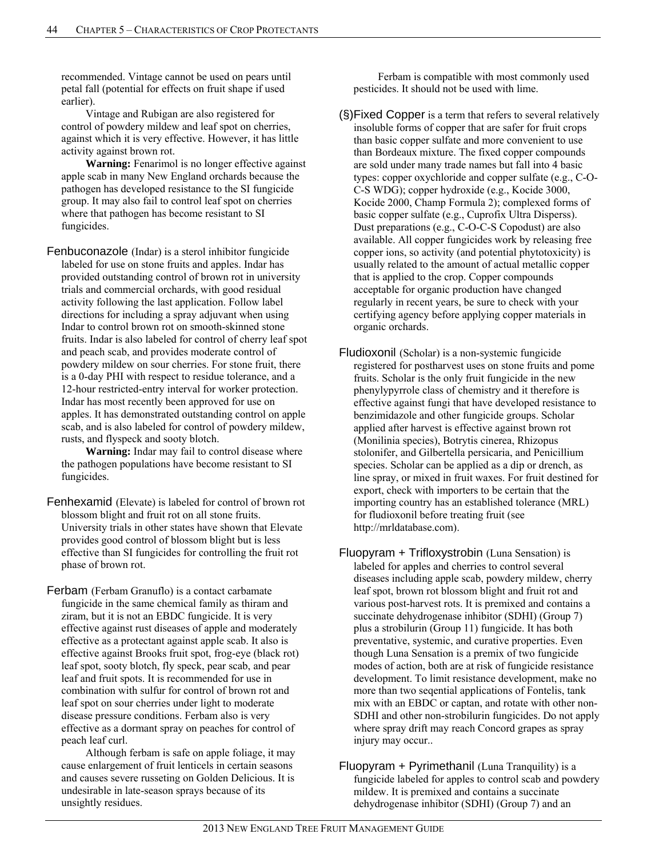recommended. Vintage cannot be used on pears until petal fall (potential for effects on fruit shape if used earlier).

 Vintage and Rubigan are also registered for control of powdery mildew and leaf spot on cherries, against which it is very effective. However, it has little activity against brown rot.

 **Warning:** Fenarimol is no longer effective against apple scab in many New England orchards because the pathogen has developed resistance to the SI fungicide group. It may also fail to control leaf spot on cherries where that pathogen has become resistant to SI fungicides.

Fenbuconazole (Indar) is a sterol inhibitor fungicide labeled for use on stone fruits and apples. Indar has provided outstanding control of brown rot in university trials and commercial orchards, with good residual activity following the last application. Follow label directions for including a spray adjuvant when using Indar to control brown rot on smooth-skinned stone fruits. Indar is also labeled for control of cherry leaf spot and peach scab, and provides moderate control of powdery mildew on sour cherries. For stone fruit, there is a 0-day PHI with respect to residue tolerance, and a 12-hour restricted-entry interval for worker protection. Indar has most recently been approved for use on apples. It has demonstrated outstanding control on apple scab, and is also labeled for control of powdery mildew, rusts, and flyspeck and sooty blotch.

 **Warning:** Indar may fail to control disease where the pathogen populations have become resistant to SI fungicides.

- Fenhexamid (Elevate) is labeled for control of brown rot blossom blight and fruit rot on all stone fruits. University trials in other states have shown that Elevate provides good control of blossom blight but is less effective than SI fungicides for controlling the fruit rot phase of brown rot.
- Ferbam (Ferbam Granuflo) is a contact carbamate fungicide in the same chemical family as thiram and ziram, but it is not an EBDC fungicide. It is very effective against rust diseases of apple and moderately effective as a protectant against apple scab. It also is effective against Brooks fruit spot, frog-eye (black rot) leaf spot, sooty blotch, fly speck, pear scab, and pear leaf and fruit spots. It is recommended for use in combination with sulfur for control of brown rot and leaf spot on sour cherries under light to moderate disease pressure conditions. Ferbam also is very effective as a dormant spray on peaches for control of peach leaf curl.

 Although ferbam is safe on apple foliage, it may cause enlargement of fruit lenticels in certain seasons and causes severe russeting on Golden Delicious. It is undesirable in late-season sprays because of its unsightly residues.

 Ferbam is compatible with most commonly used pesticides. It should not be used with lime.

- (§)Fixed Copper is a term that refers to several relatively insoluble forms of copper that are safer for fruit crops than basic copper sulfate and more convenient to use than Bordeaux mixture. The fixed copper compounds are sold under many trade names but fall into 4 basic types: copper oxychloride and copper sulfate (e.g., C-O-C-S WDG); copper hydroxide (e.g., Kocide 3000, Kocide 2000, Champ Formula 2); complexed forms of basic copper sulfate (e.g., Cuprofix Ultra Disperss). Dust preparations (e.g., C-O-C-S Copodust) are also available. All copper fungicides work by releasing free copper ions, so activity (and potential phytotoxicity) is usually related to the amount of actual metallic copper that is applied to the crop. Copper compounds acceptable for organic production have changed regularly in recent years, be sure to check with your certifying agency before applying copper materials in organic orchards.
- Fludioxonil (Scholar) is a non-systemic fungicide registered for postharvest uses on stone fruits and pome fruits. Scholar is the only fruit fungicide in the new phenylypyrrole class of chemistry and it therefore is effective against fungi that have developed resistance to benzimidazole and other fungicide groups. Scholar applied after harvest is effective against brown rot (Monilinia species), Botrytis cinerea, Rhizopus stolonifer, and Gilbertella persicaria, and Penicillium species. Scholar can be applied as a dip or drench, as line spray, or mixed in fruit waxes. For fruit destined for export, check with importers to be certain that the importing country has an established tolerance (MRL) for fludioxonil before treating fruit (see http://mrldatabase.com).
- Fluopyram + Trifloxystrobin (Luna Sensation) is labeled for apples and cherries to control several diseases including apple scab, powdery mildew, cherry leaf spot, brown rot blossom blight and fruit rot and various post-harvest rots. It is premixed and contains a succinate dehydrogenase inhibitor (SDHI) (Group 7) plus a strobilurin (Group 11) fungicide. It has both preventative, systemic, and curative properties. Even though Luna Sensation is a premix of two fungicide modes of action, both are at risk of fungicide resistance development. To limit resistance development, make no more than two seqential applications of Fontelis, tank mix with an EBDC or captan, and rotate with other non-SDHI and other non-strobilurin fungicides. Do not apply where spray drift may reach Concord grapes as spray injury may occur..
- Fluopyram  $+$  Pyrimethanil (Luna Tranquility) is a fungicide labeled for apples to control scab and powdery mildew. It is premixed and contains a succinate dehydrogenase inhibitor (SDHI) (Group 7) and an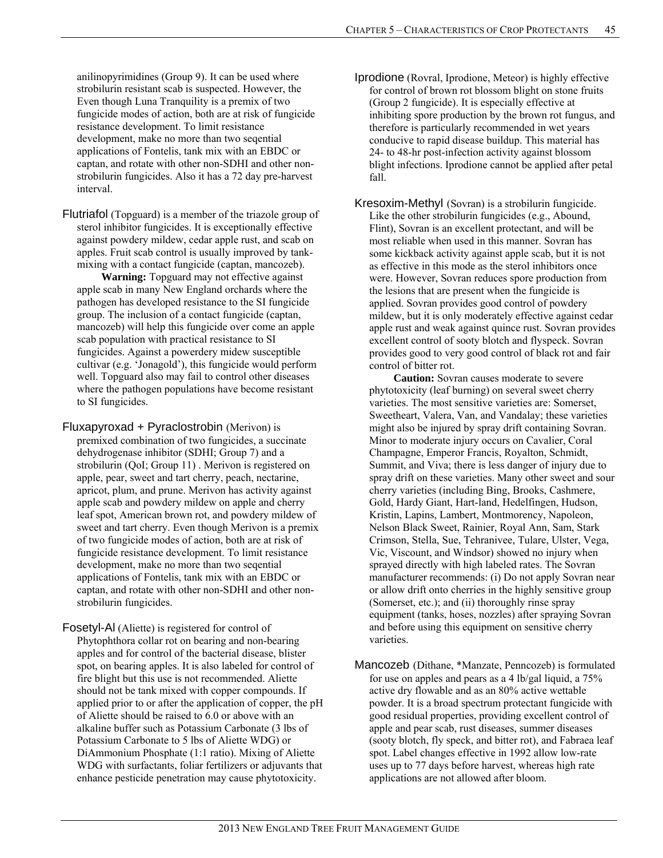anilinopyrimidines (Group 9). It can be used where strobilurin resistant scab is suspected. However, the Even though Luna Tranquility is a premix of two fungicide modes of action, both are at risk of fungicide resistance development. To limit resistance development, make no more than two seqential applications of Fontelis, tank mix with an EBDC or captan, and rotate with other non-SDHI and other nonstrobilurin fungicides. Also it has a 72 day pre-harvest interval.

Flutriafol (Topguard) is a member of the triazole group of sterol inhibitor fungicides. It is exceptionally effective against powdery mildew, cedar apple rust, and scab on apples. Fruit scab control is usually improved by tankmixing with a contact fungicide (captan, mancozeb).

 **Warning:** Topguard may not effective against apple scab in many New England orchards where the pathogen has developed resistance to the SI fungicide group. The inclusion of a contact fungicide (captan, mancozeb) will help this fungicide over come an apple scab population with practical resistance to SI fungicides. Against a powerdery midew susceptible cultivar (e.g. 'Jonagold'), this fungicide would perform well. Topguard also may fail to control other diseases where the pathogen populations have become resistant to SI fungicides.

- Fluxapyroxad + Pyraclostrobin (Merivon) is premixed combination of two fungicides, a succinate dehydrogenase inhibitor (SDHI; Group 7) and a strobilurin (QoI; Group 11) . Merivon is registered on apple, pear, sweet and tart cherry, peach, nectarine, apricot, plum, and prune. Merivon has activity against apple scab and powdery mildew on apple and cherry leaf spot, American brown rot, and powdery mildew of sweet and tart cherry. Even though Merivon is a premix of two fungicide modes of action, both are at risk of fungicide resistance development. To limit resistance development, make no more than two seqential applications of Fontelis, tank mix with an EBDC or captan, and rotate with other non-SDHI and other nonstrobilurin fungicides.
- Fosetyl-Al (Aliette) is registered for control of Phytophthora collar rot on bearing and non-bearing apples and for control of the bacterial disease, blister spot, on bearing apples. It is also labeled for control of fire blight but this use is not recommended. Aliette should not be tank mixed with copper compounds. If applied prior to or after the application of copper, the pH of Aliette should be raised to 6.0 or above with an alkaline buffer such as Potassium Carbonate (3 lbs of Potassium Carbonate to 5 lbs of Aliette WDG) or DiAmmonium Phosphate (1:1 ratio). Mixing of Aliette WDG with surfactants, foliar fertilizers or adjuvants that enhance pesticide penetration may cause phytotoxicity.

Iprodione (Rovral, Iprodione, Meteor) is highly effective for control of brown rot blossom blight on stone fruits (Group 2 fungicide). It is especially effective at inhibiting spore production by the brown rot fungus, and therefore is particularly recommended in wet years conducive to rapid disease buildup. This material has 24- to 48-hr post-infection activity against blossom blight infections. Iprodione cannot be applied after petal fall.

Kresoxim-Methyl (Sovran) is a strobilurin fungicide. Like the other strobilurin fungicides (e.g., Abound, Flint), Sovran is an excellent protectant, and will be most reliable when used in this manner. Sovran has some kickback activity against apple scab, but it is not as effective in this mode as the sterol inhibitors once were. However, Sovran reduces spore production from the lesions that are present when the fungicide is applied. Sovran provides good control of powdery mildew, but it is only moderately effective against cedar apple rust and weak against quince rust. Sovran provides excellent control of sooty blotch and flyspeck. Sovran provides good to very good control of black rot and fair control of bitter rot.

 **Caution:** Sovran causes moderate to severe phytotoxicity (leaf burning) on several sweet cherry varieties. The most sensitive varieties are: Somerset, Sweetheart, Valera, Van, and Vandalay; these varieties might also be injured by spray drift containing Sovran. Minor to moderate injury occurs on Cavalier, Coral Champagne, Emperor Francis, Royalton, Schmidt, Summit, and Viva; there is less danger of injury due to spray drift on these varieties. Many other sweet and sour cherry varieties (including Bing, Brooks, Cashmere, Gold, Hardy Giant, Hart-land, Hedelfingen, Hudson, Kristin, Lapins, Lambert, Montmorency, Napoleon, Nelson Black Sweet, Rainier, Royal Ann, Sam, Stark Crimson, Stella, Sue, Tehranivee, Tulare, Ulster, Vega, Vic, Viscount, and Windsor) showed no injury when sprayed directly with high labeled rates. The Sovran manufacturer recommends: (i) Do not apply Sovran near or allow drift onto cherries in the highly sensitive group (Somerset, etc.); and (ii) thoroughly rinse spray equipment (tanks, hoses, nozzles) after spraying Sovran and before using this equipment on sensitive cherry varieties.

Mancozeb (Dithane, \*Manzate, Penncozeb) is formulated for use on apples and pears as a 4 lb/gal liquid, a 75% active dry flowable and as an 80% active wettable powder. It is a broad spectrum protectant fungicide with good residual properties, providing excellent control of apple and pear scab, rust diseases, summer diseases (sooty blotch, fly speck, and bitter rot), and Fabraea leaf spot. Label changes effective in 1992 allow low-rate uses up to 77 days before harvest, whereas high rate applications are not allowed after bloom.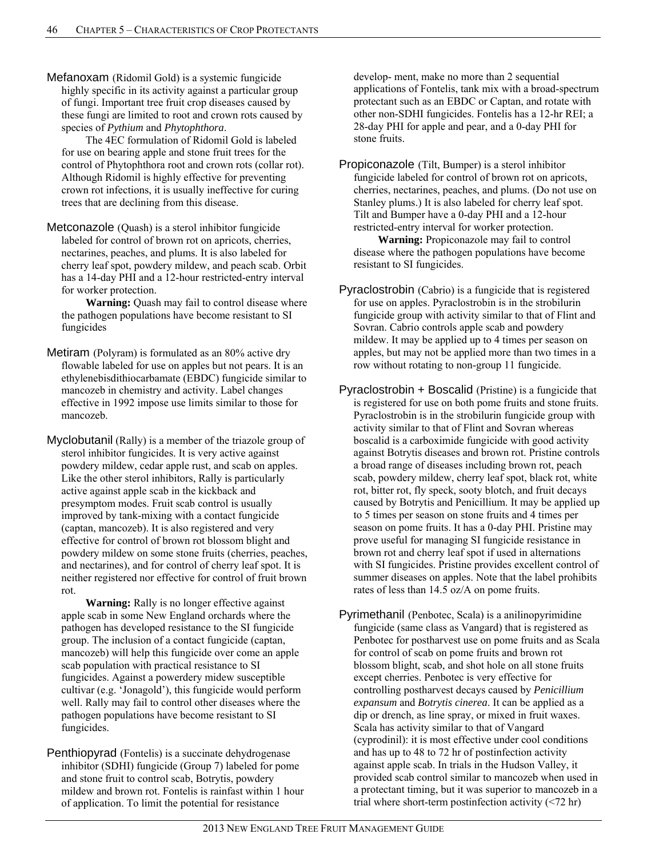Mefanoxam (Ridomil Gold) is a systemic fungicide highly specific in its activity against a particular group of fungi. Important tree fruit crop diseases caused by these fungi are limited to root and crown rots caused by species of *Pythium* and *Phytophthora*.

 The 4EC formulation of Ridomil Gold is labeled for use on bearing apple and stone fruit trees for the control of Phytophthora root and crown rots (collar rot). Although Ridomil is highly effective for preventing crown rot infections, it is usually ineffective for curing trees that are declining from this disease.

Metconazole (Quash) is a sterol inhibitor fungicide labeled for control of brown rot on apricots, cherries, nectarines, peaches, and plums. It is also labeled for cherry leaf spot, powdery mildew, and peach scab. Orbit has a 14-day PHI and a 12-hour restricted-entry interval for worker protection.

 **Warning:** Quash may fail to control disease where the pathogen populations have become resistant to SI fungicides

Metiram (Polyram) is formulated as an 80% active dry flowable labeled for use on apples but not pears. It is an ethylenebisdithiocarbamate (EBDC) fungicide similar to mancozeb in chemistry and activity. Label changes effective in 1992 impose use limits similar to those for mancozeb.

Myclobutanil (Rally) is a member of the triazole group of sterol inhibitor fungicides. It is very active against powdery mildew, cedar apple rust, and scab on apples. Like the other sterol inhibitors, Rally is particularly active against apple scab in the kickback and presymptom modes. Fruit scab control is usually improved by tank-mixing with a contact fungicide (captan, mancozeb). It is also registered and very effective for control of brown rot blossom blight and powdery mildew on some stone fruits (cherries, peaches, and nectarines), and for control of cherry leaf spot. It is neither registered nor effective for control of fruit brown rot.

 **Warning:** Rally is no longer effective against apple scab in some New England orchards where the pathogen has developed resistance to the SI fungicide group. The inclusion of a contact fungicide (captan, mancozeb) will help this fungicide over come an apple scab population with practical resistance to SI fungicides. Against a powerdery midew susceptible cultivar (e.g. 'Jonagold'), this fungicide would perform well. Rally may fail to control other diseases where the pathogen populations have become resistant to SI fungicides.

Penthiopyrad (Fontelis) is a succinate dehydrogenase inhibitor (SDHI) fungicide (Group 7) labeled for pome and stone fruit to control scab, Botrytis, powdery mildew and brown rot. Fontelis is rainfast within 1 hour of application. To limit the potential for resistance

develop- ment, make no more than 2 sequential applications of Fontelis, tank mix with a broad-spectrum protectant such as an EBDC or Captan, and rotate with other non-SDHI fungicides. Fontelis has a 12-hr REI; a 28-day PHI for apple and pear, and a 0-day PHI for stone fruits.

Propiconazole (Tilt, Bumper) is a sterol inhibitor fungicide labeled for control of brown rot on apricots, cherries, nectarines, peaches, and plums. (Do not use on Stanley plums.) It is also labeled for cherry leaf spot. Tilt and Bumper have a 0-day PHI and a 12-hour restricted-entry interval for worker protection.

 **Warning:** Propiconazole may fail to control disease where the pathogen populations have become resistant to SI fungicides.

Pyraclostrobin (Cabrio) is a fungicide that is registered for use on apples. Pyraclostrobin is in the strobilurin fungicide group with activity similar to that of Flint and Sovran. Cabrio controls apple scab and powdery mildew. It may be applied up to 4 times per season on apples, but may not be applied more than two times in a row without rotating to non-group 11 fungicide.

Pyraclostrobin + Boscalid (Pristine) is a fungicide that is registered for use on both pome fruits and stone fruits. Pyraclostrobin is in the strobilurin fungicide group with activity similar to that of Flint and Sovran whereas boscalid is a carboximide fungicide with good activity against Botrytis diseases and brown rot. Pristine controls a broad range of diseases including brown rot, peach scab, powdery mildew, cherry leaf spot, black rot, white rot, bitter rot, fly speck, sooty blotch, and fruit decays caused by Botrytis and Penicillium. It may be applied up to 5 times per season on stone fruits and 4 times per season on pome fruits. It has a 0-day PHI. Pristine may prove useful for managing SI fungicide resistance in brown rot and cherry leaf spot if used in alternations with SI fungicides. Pristine provides excellent control of summer diseases on apples. Note that the label prohibits rates of less than 14.5 oz/A on pome fruits.

Pyrimethanil (Penbotec, Scala) is a anilinopyrimidine fungicide (same class as Vangard) that is registered as Penbotec for postharvest use on pome fruits and as Scala for control of scab on pome fruits and brown rot blossom blight, scab, and shot hole on all stone fruits except cherries. Penbotec is very effective for controlling postharvest decays caused by *Penicillium expansum* and *Botrytis cinerea*. It can be applied as a dip or drench, as line spray, or mixed in fruit waxes. Scala has activity similar to that of Vangard (cyprodinil): it is most effective under cool conditions and has up to 48 to 72 hr of postinfection activity against apple scab. In trials in the Hudson Valley, it provided scab control similar to mancozeb when used in a protectant timing, but it was superior to mancozeb in a trial where short-term postinfection activity (<72 hr)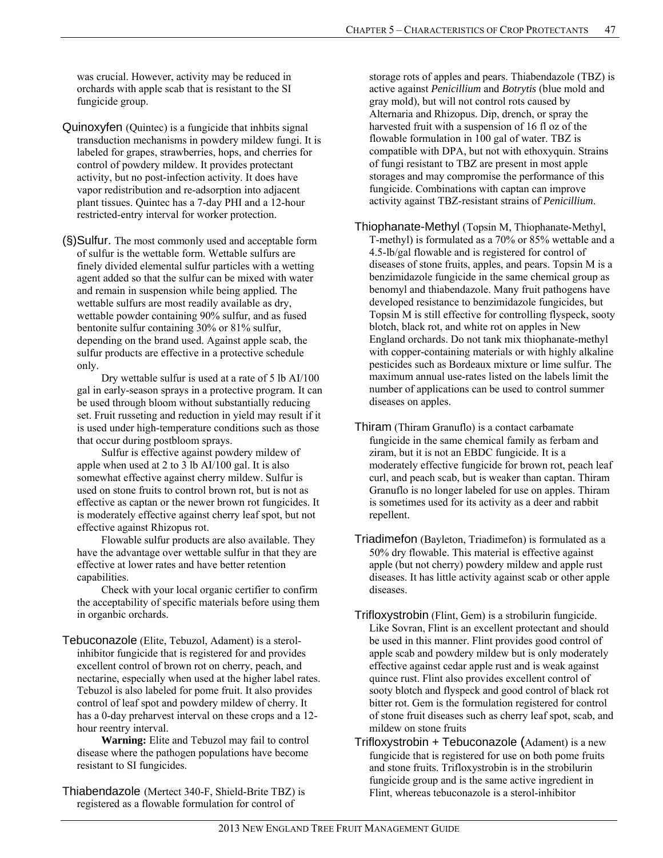was crucial. However, activity may be reduced in orchards with apple scab that is resistant to the SI fungicide group.

- Quinoxyfen (Quintec) is a fungicide that inhbits signal transduction mechanisms in powdery mildew fungi. It is labeled for grapes, strawberries, hops, and cherries for control of powdery mildew. It provides protectant activity, but no post-infection activity. It does have vapor redistribution and re-adsorption into adjacent plant tissues. Quintec has a 7-day PHI and a 12-hour restricted-entry interval for worker protection.
- (§)Sulfur. The most commonly used and acceptable form of sulfur is the wettable form. Wettable sulfurs are finely divided elemental sulfur particles with a wetting agent added so that the sulfur can be mixed with water and remain in suspension while being applied. The wettable sulfurs are most readily available as dry, wettable powder containing 90% sulfur, and as fused bentonite sulfur containing 30% or 81% sulfur, depending on the brand used. Against apple scab, the sulfur products are effective in a protective schedule only.

 Dry wettable sulfur is used at a rate of 5 lb AI/100 gal in early-season sprays in a protective program. It can be used through bloom without substantially reducing set. Fruit russeting and reduction in yield may result if it is used under high-temperature conditions such as those that occur during postbloom sprays.

 Sulfur is effective against powdery mildew of apple when used at 2 to 3 lb AI/100 gal. It is also somewhat effective against cherry mildew. Sulfur is used on stone fruits to control brown rot, but is not as effective as captan or the newer brown rot fungicides. It is moderately effective against cherry leaf spot, but not effective against Rhizopus rot.

 Flowable sulfur products are also available. They have the advantage over wettable sulfur in that they are effective at lower rates and have better retention capabilities.

 Check with your local organic certifier to confirm the acceptability of specific materials before using them in organbic orchards.

Tebuconazole (Elite, Tebuzol, Adament) is a sterolinhibitor fungicide that is registered for and provides excellent control of brown rot on cherry, peach, and nectarine, especially when used at the higher label rates. Tebuzol is also labeled for pome fruit. It also provides control of leaf spot and powdery mildew of cherry. It has a 0-day preharvest interval on these crops and a 12 hour reentry interval.

 **Warning:** Elite and Tebuzol may fail to control disease where the pathogen populations have become resistant to SI fungicides.

Thiabendazole (Mertect 340-F, Shield-Brite TBZ) is registered as a flowable formulation for control of

storage rots of apples and pears. Thiabendazole (TBZ) is active against *Penicillium* and *Botrytis* (blue mold and gray mold), but will not control rots caused by Alternaria and Rhizopus. Dip, drench, or spray the harvested fruit with a suspension of 16 fl oz of the flowable formulation in 100 gal of water. TBZ is compatible with DPA, but not with ethoxyquin. Strains of fungi resistant to TBZ are present in most apple storages and may compromise the performance of this fungicide. Combinations with captan can improve activity against TBZ-resistant strains of *Penicillium*.

- Thiophanate-Methyl (Topsin M, Thiophanate-Methyl, T-methyl) is formulated as a 70% or 85% wettable and a 4.5-lb/gal flowable and is registered for control of diseases of stone fruits, apples, and pears. Topsin M is a benzimidazole fungicide in the same chemical group as benomyl and thiabendazole. Many fruit pathogens have developed resistance to benzimidazole fungicides, but Topsin M is still effective for controlling flyspeck, sooty blotch, black rot, and white rot on apples in New England orchards. Do not tank mix thiophanate-methyl with copper-containing materials or with highly alkaline pesticides such as Bordeaux mixture or lime sulfur. The maximum annual use-rates listed on the labels limit the number of applications can be used to control summer diseases on apples.
- Thiram (Thiram Granuflo) is a contact carbamate fungicide in the same chemical family as ferbam and ziram, but it is not an EBDC fungicide. It is a moderately effective fungicide for brown rot, peach leaf curl, and peach scab, but is weaker than captan. Thiram Granuflo is no longer labeled for use on apples. Thiram is sometimes used for its activity as a deer and rabbit repellent.
- Triadimefon (Bayleton, Triadimefon) is formulated as a 50% dry flowable. This material is effective against apple (but not cherry) powdery mildew and apple rust diseases. It has little activity against scab or other apple diseases.
- Trifloxystrobin (Flint, Gem) is a strobilurin fungicide. Like Sovran, Flint is an excellent protectant and should be used in this manner. Flint provides good control of apple scab and powdery mildew but is only moderately effective against cedar apple rust and is weak against quince rust. Flint also provides excellent control of sooty blotch and flyspeck and good control of black rot bitter rot. Gem is the formulation registered for control of stone fruit diseases such as cherry leaf spot, scab, and mildew on stone fruits
- Trifloxystrobin + Tebuconazole (Adament) is a new fungicide that is registered for use on both pome fruits and stone fruits. Trifloxystrobin is in the strobilurin fungicide group and is the same active ingredient in Flint, whereas tebuconazole is a sterol-inhibitor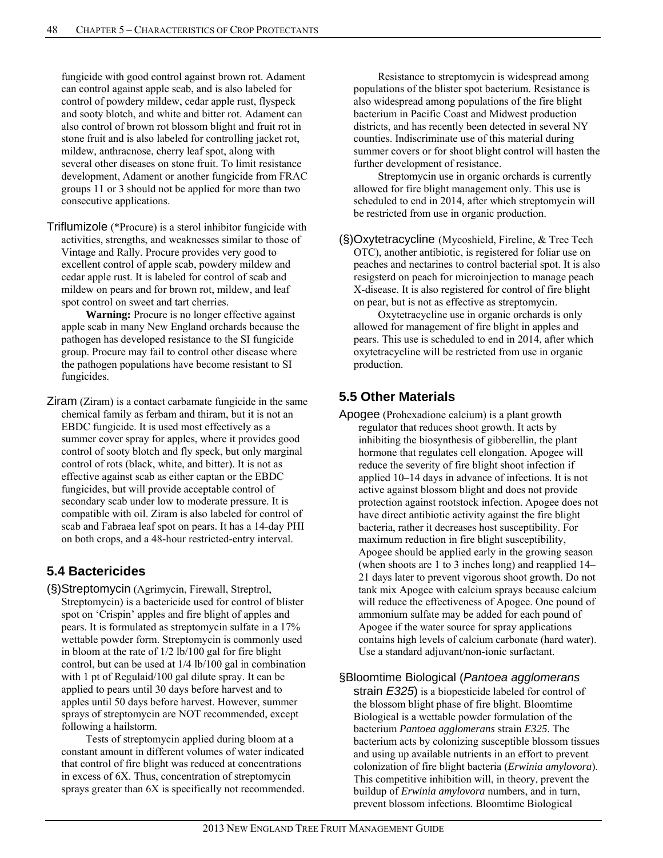fungicide with good control against brown rot. Adament can control against apple scab, and is also labeled for control of powdery mildew, cedar apple rust, flyspeck and sooty blotch, and white and bitter rot. Adament can also control of brown rot blossom blight and fruit rot in stone fruit and is also labeled for controlling jacket rot, mildew, anthracnose, cherry leaf spot, along with several other diseases on stone fruit. To limit resistance development, Adament or another fungicide from FRAC groups 11 or 3 should not be applied for more than two consecutive applications.

Triflumizole (\*Procure) is a sterol inhibitor fungicide with activities, strengths, and weaknesses similar to those of Vintage and Rally. Procure provides very good to excellent control of apple scab, powdery mildew and cedar apple rust. It is labeled for control of scab and mildew on pears and for brown rot, mildew, and leaf spot control on sweet and tart cherries.

 **Warning:** Procure is no longer effective against apple scab in many New England orchards because the pathogen has developed resistance to the SI fungicide group. Procure may fail to control other disease where the pathogen populations have become resistant to SI fungicides.

Ziram (Ziram) is a contact carbamate fungicide in the same chemical family as ferbam and thiram, but it is not an EBDC fungicide. It is used most effectively as a summer cover spray for apples, where it provides good control of sooty blotch and fly speck, but only marginal control of rots (black, white, and bitter). It is not as effective against scab as either captan or the EBDC fungicides, but will provide acceptable control of secondary scab under low to moderate pressure. It is compatible with oil. Ziram is also labeled for control of scab and Fabraea leaf spot on pears. It has a 14-day PHI on both crops, and a 48-hour restricted-entry interval.

# **5.4 Bactericides**

(§)Streptomycin (Agrimycin, Firewall, Streptrol, Streptomycin) is a bactericide used for control of blister spot on 'Crispin' apples and fire blight of apples and pears. It is formulated as streptomycin sulfate in a 17% wettable powder form. Streptomycin is commonly used in bloom at the rate of 1/2 lb/100 gal for fire blight control, but can be used at 1/4 lb/100 gal in combination with 1 pt of Regulaid/100 gal dilute spray. It can be applied to pears until 30 days before harvest and to apples until 50 days before harvest. However, summer sprays of streptomycin are NOT recommended, except following a hailstorm.

Tests of streptomycin applied during bloom at a constant amount in different volumes of water indicated that control of fire blight was reduced at concentrations in excess of 6X. Thus, concentration of streptomycin sprays greater than 6X is specifically not recommended.

Resistance to streptomycin is widespread among populations of the blister spot bacterium. Resistance is also widespread among populations of the fire blight bacterium in Pacific Coast and Midwest production districts, and has recently been detected in several NY counties. Indiscriminate use of this material during summer covers or for shoot blight control will hasten the further development of resistance.

Streptomycin use in organic orchards is currently allowed for fire blight management only. This use is scheduled to end in 2014, after which streptomycin will be restricted from use in organic production.

(§)Oxytetracycline (Mycoshield, Fireline, & Tree Tech OTC), another antibiotic, is registered for foliar use on peaches and nectarines to control bacterial spot. It is also resigsterd on peach for microinjection to manage peach X-disease. It is also registered for control of fire blight on pear, but is not as effective as streptomycin.

Oxytetracycline use in organic orchards is only allowed for management of fire blight in apples and pears. This use is scheduled to end in 2014, after which oxytetracycline will be restricted from use in organic production.

# **5.5 Other Materials**

Apogee (Prohexadione calcium) is a plant growth regulator that reduces shoot growth. It acts by inhibiting the biosynthesis of gibberellin, the plant hormone that regulates cell elongation. Apogee will reduce the severity of fire blight shoot infection if applied 10–14 days in advance of infections. It is not active against blossom blight and does not provide protection against rootstock infection. Apogee does not have direct antibiotic activity against the fire blight bacteria, rather it decreases host susceptibility. For maximum reduction in fire blight susceptibility, Apogee should be applied early in the growing season (when shoots are 1 to 3 inches long) and reapplied 14– 21 days later to prevent vigorous shoot growth. Do not tank mix Apogee with calcium sprays because calcium will reduce the effectiveness of Apogee. One pound of ammonium sulfate may be added for each pound of Apogee if the water source for spray applications contains high levels of calcium carbonate (hard water). Use a standard adjuvant/non-ionic surfactant.

### §Bloomtime Biological (*Pantoea agglomerans*

strain *E325*) is a biopesticide labeled for control of the blossom blight phase of fire blight. Bloomtime Biological is a wettable powder formulation of the bacterium *Pantoea agglomerans* strain *E325*. The bacterium acts by colonizing susceptible blossom tissues and using up available nutrients in an effort to prevent colonization of fire blight bacteria (*Erwinia amylovora*). This competitive inhibition will, in theory, prevent the buildup of *Erwinia amylovora* numbers, and in turn, prevent blossom infections. Bloomtime Biological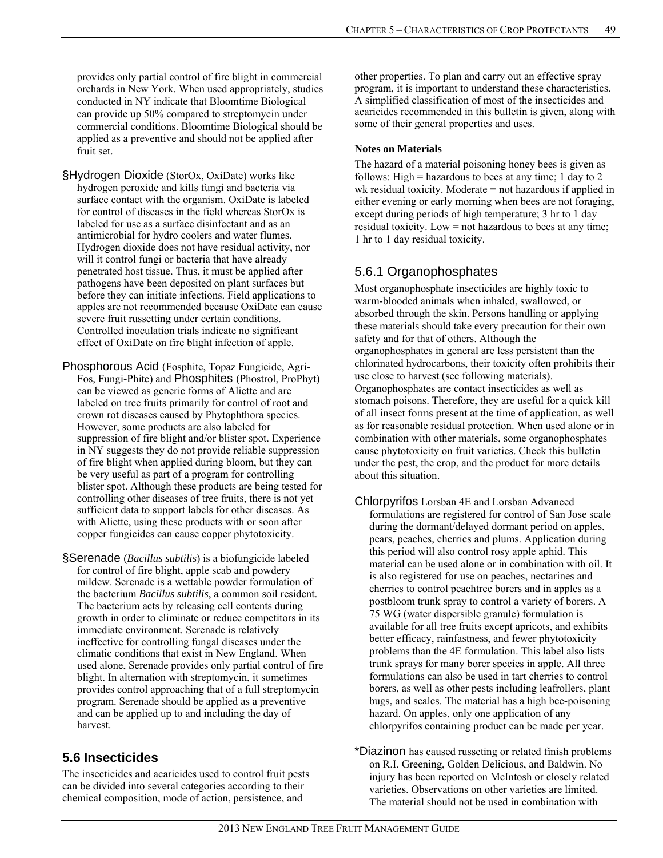provides only partial control of fire blight in commercial orchards in New York. When used appropriately, studies conducted in NY indicate that Bloomtime Biological can provide up 50% compared to streptomycin under commercial conditions. Bloomtime Biological should be applied as a preventive and should not be applied after fruit set.

§Hydrogen Dioxide (StorOx, OxiDate) works like hydrogen peroxide and kills fungi and bacteria via surface contact with the organism. OxiDate is labeled for control of diseases in the field whereas StorOx is labeled for use as a surface disinfectant and as an antimicrobial for hydro coolers and water flumes. Hydrogen dioxide does not have residual activity, nor will it control fungi or bacteria that have already penetrated host tissue. Thus, it must be applied after pathogens have been deposited on plant surfaces but before they can initiate infections. Field applications to apples are not recommended because OxiDate can cause severe fruit russetting under certain conditions. Controlled inoculation trials indicate no significant effect of OxiDate on fire blight infection of apple.

Phosphorous Acid (Fosphite, Topaz Fungicide, Agri-Fos, Fungi-Phite) and Phosphites (Phostrol, ProPhyt) can be viewed as generic forms of Aliette and are labeled on tree fruits primarily for control of root and crown rot diseases caused by Phytophthora species. However, some products are also labeled for suppression of fire blight and/or blister spot. Experience in NY suggests they do not provide reliable suppression of fire blight when applied during bloom, but they can be very useful as part of a program for controlling blister spot. Although these products are being tested for controlling other diseases of tree fruits, there is not yet sufficient data to support labels for other diseases. As with Aliette, using these products with or soon after copper fungicides can cause copper phytotoxicity.

§Serenade (*Bacillus subtilis*) is a biofungicide labeled for control of fire blight, apple scab and powdery mildew. Serenade is a wettable powder formulation of the bacterium *Bacillus subtilis*, a common soil resident. The bacterium acts by releasing cell contents during growth in order to eliminate or reduce competitors in its immediate environment. Serenade is relatively ineffective for controlling fungal diseases under the climatic conditions that exist in New England. When used alone, Serenade provides only partial control of fire blight. In alternation with streptomycin, it sometimes provides control approaching that of a full streptomycin program. Serenade should be applied as a preventive and can be applied up to and including the day of harvest.

# **5.6 Insecticides**

The insecticides and acaricides used to control fruit pests can be divided into several categories according to their chemical composition, mode of action, persistence, and

other properties. To plan and carry out an effective spray program, it is important to understand these characteristics. A simplified classification of most of the insecticides and acaricides recommended in this bulletin is given, along with some of their general properties and uses.

### **Notes on Materials**

The hazard of a material poisoning honey bees is given as follows: High  $=$  hazardous to bees at any time; 1 day to 2 wk residual toxicity. Moderate = not hazardous if applied in either evening or early morning when bees are not foraging, except during periods of high temperature; 3 hr to 1 day residual toxicity. Low = not hazardous to bees at any time; 1 hr to 1 day residual toxicity.

# 5.6.1 Organophosphates

Most organophosphate insecticides are highly toxic to warm-blooded animals when inhaled, swallowed, or absorbed through the skin. Persons handling or applying these materials should take every precaution for their own safety and for that of others. Although the organophosphates in general are less persistent than the chlorinated hydrocarbons, their toxicity often prohibits their use close to harvest (see following materials). Organophosphates are contact insecticides as well as stomach poisons. Therefore, they are useful for a quick kill of all insect forms present at the time of application, as well as for reasonable residual protection. When used alone or in combination with other materials, some organophosphates cause phytotoxicity on fruit varieties. Check this bulletin under the pest, the crop, and the product for more details about this situation.

- Chlorpyrifos Lorsban 4E and Lorsban Advanced formulations are registered for control of San Jose scale during the dormant/delayed dormant period on apples, pears, peaches, cherries and plums. Application during this period will also control rosy apple aphid. This material can be used alone or in combination with oil. It is also registered for use on peaches, nectarines and cherries to control peachtree borers and in apples as a postbloom trunk spray to control a variety of borers. A 75 WG (water dispersible granule) formulation is available for all tree fruits except apricots, and exhibits better efficacy, rainfastness, and fewer phytotoxicity problems than the 4E formulation. This label also lists trunk sprays for many borer species in apple. All three formulations can also be used in tart cherries to control borers, as well as other pests including leafrollers, plant bugs, and scales. The material has a high bee-poisoning hazard. On apples, only one application of any chlorpyrifos containing product can be made per year.
- \*Diazinon has caused russeting or related finish problems on R.I. Greening, Golden Delicious, and Baldwin. No injury has been reported on McIntosh or closely related varieties. Observations on other varieties are limited. The material should not be used in combination with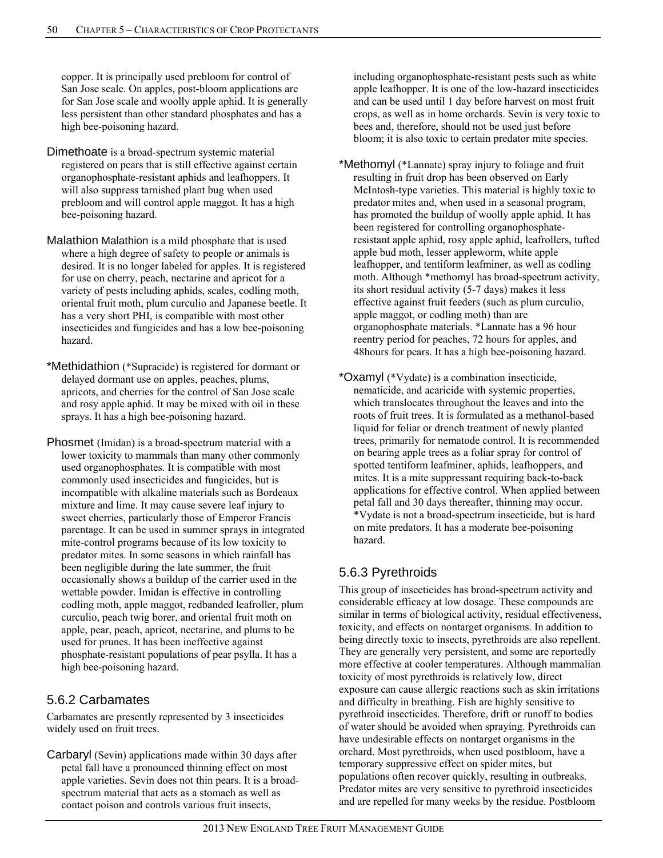copper. It is principally used prebloom for control of San Jose scale. On apples, post-bloom applications are for San Jose scale and woolly apple aphid. It is generally less persistent than other standard phosphates and has a high bee-poisoning hazard.

- Dimethoate is a broad-spectrum systemic material registered on pears that is still effective against certain organophosphate-resistant aphids and leafhoppers. It will also suppress tarnished plant bug when used prebloom and will control apple maggot. It has a high bee-poisoning hazard.
- Malathion Malathion is a mild phosphate that is used where a high degree of safety to people or animals is desired. It is no longer labeled for apples. It is registered for use on cherry, peach, nectarine and apricot for a variety of pests including aphids, scales, codling moth, oriental fruit moth, plum curculio and Japanese beetle. It has a very short PHI, is compatible with most other insecticides and fungicides and has a low bee-poisoning hazard.
- \*Methidathion (\*Supracide) is registered for dormant or delayed dormant use on apples, peaches, plums, apricots, and cherries for the control of San Jose scale and rosy apple aphid. It may be mixed with oil in these sprays. It has a high bee-poisoning hazard.
- Phosmet (Imidan) is a broad-spectrum material with a lower toxicity to mammals than many other commonly used organophosphates. It is compatible with most commonly used insecticides and fungicides, but is incompatible with alkaline materials such as Bordeaux mixture and lime. It may cause severe leaf injury to sweet cherries, particularly those of Emperor Francis parentage. It can be used in summer sprays in integrated mite-control programs because of its low toxicity to predator mites. In some seasons in which rainfall has been negligible during the late summer, the fruit occasionally shows a buildup of the carrier used in the wettable powder. Imidan is effective in controlling codling moth, apple maggot, redbanded leafroller, plum curculio, peach twig borer, and oriental fruit moth on apple, pear, peach, apricot, nectarine, and plums to be used for prunes. It has been ineffective against phosphate-resistant populations of pear psylla. It has a high bee-poisoning hazard.

# 5.6.2 Carbamates

Carbamates are presently represented by 3 insecticides widely used on fruit trees.

Carbaryl (Sevin) applications made within 30 days after petal fall have a pronounced thinning effect on most apple varieties. Sevin does not thin pears. It is a broadspectrum material that acts as a stomach as well as contact poison and controls various fruit insects,

including organophosphate-resistant pests such as white apple leafhopper. It is one of the low-hazard insecticides and can be used until 1 day before harvest on most fruit crops, as well as in home orchards. Sevin is very toxic to bees and, therefore, should not be used just before bloom; it is also toxic to certain predator mite species.

- \*Methomyl (\*Lannate) spray injury to foliage and fruit resulting in fruit drop has been observed on Early McIntosh-type varieties. This material is highly toxic to predator mites and, when used in a seasonal program, has promoted the buildup of woolly apple aphid. It has been registered for controlling organophosphateresistant apple aphid, rosy apple aphid, leafrollers, tufted apple bud moth, lesser appleworm, white apple leafhopper, and tentiform leafminer, as well as codling moth. Although \*methomyl has broad-spectrum activity, its short residual activity (5-7 days) makes it less effective against fruit feeders (such as plum curculio, apple maggot, or codling moth) than are organophosphate materials. \*Lannate has a 96 hour reentry period for peaches, 72 hours for apples, and 48hours for pears. It has a high bee-poisoning hazard.
- \*Oxamyl (\*Vydate) is a combination insecticide, nematicide, and acaricide with systemic properties, which translocates throughout the leaves and into the roots of fruit trees. It is formulated as a methanol-based liquid for foliar or drench treatment of newly planted trees, primarily for nematode control. It is recommended on bearing apple trees as a foliar spray for control of spotted tentiform leafminer, aphids, leafhoppers, and mites. It is a mite suppressant requiring back-to-back applications for effective control. When applied between petal fall and 30 days thereafter, thinning may occur. \*Vydate is not a broad-spectrum insecticide, but is hard on mite predators. It has a moderate bee-poisoning hazard.

# 5.6.3 Pyrethroids

This group of insecticides has broad-spectrum activity and considerable efficacy at low dosage. These compounds are similar in terms of biological activity, residual effectiveness, toxicity, and effects on nontarget organisms. In addition to being directly toxic to insects, pyrethroids are also repellent. They are generally very persistent, and some are reportedly more effective at cooler temperatures. Although mammalian toxicity of most pyrethroids is relatively low, direct exposure can cause allergic reactions such as skin irritations and difficulty in breathing. Fish are highly sensitive to pyrethroid insecticides. Therefore, drift or runoff to bodies of water should be avoided when spraying. Pyrethroids can have undesirable effects on nontarget organisms in the orchard. Most pyrethroids, when used postbloom, have a temporary suppressive effect on spider mites, but populations often recover quickly, resulting in outbreaks. Predator mites are very sensitive to pyrethroid insecticides and are repelled for many weeks by the residue. Postbloom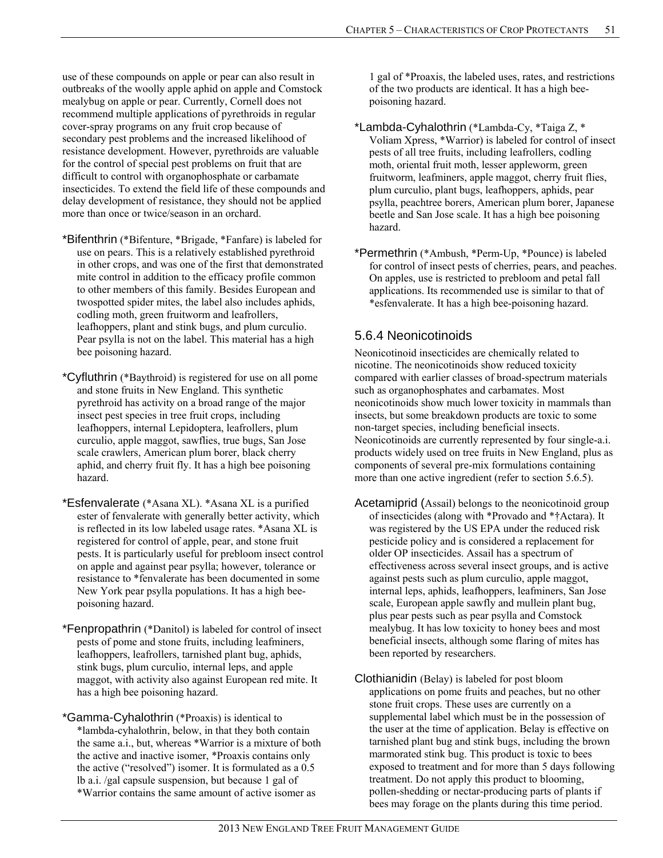use of these compounds on apple or pear can also result in outbreaks of the woolly apple aphid on apple and Comstock mealybug on apple or pear. Currently, Cornell does not recommend multiple applications of pyrethroids in regular cover-spray programs on any fruit crop because of secondary pest problems and the increased likelihood of resistance development. However, pyrethroids are valuable for the control of special pest problems on fruit that are difficult to control with organophosphate or carbamate insecticides. To extend the field life of these compounds and delay development of resistance, they should not be applied more than once or twice/season in an orchard.

- \*Bifenthrin (\*Bifenture, \*Brigade, \*Fanfare) is labeled for use on pears. This is a relatively established pyrethroid in other crops, and was one of the first that demonstrated mite control in addition to the efficacy profile common to other members of this family. Besides European and twospotted spider mites, the label also includes aphids, codling moth, green fruitworm and leafrollers, leafhoppers, plant and stink bugs, and plum curculio. Pear psylla is not on the label. This material has a high bee poisoning hazard.
- \*Cyfluthrin (\*Baythroid) is registered for use on all pome and stone fruits in New England. This synthetic pyrethroid has activity on a broad range of the major insect pest species in tree fruit crops, including leafhoppers, internal Lepidoptera, leafrollers, plum curculio, apple maggot, sawflies, true bugs, San Jose scale crawlers, American plum borer, black cherry aphid, and cherry fruit fly. It has a high bee poisoning hazard.
- \*Esfenvalerate (\*Asana XL). \*Asana XL is a purified ester of fenvalerate with generally better activity, which is reflected in its low labeled usage rates. \*Asana XL is registered for control of apple, pear, and stone fruit pests. It is particularly useful for prebloom insect control on apple and against pear psylla; however, tolerance or resistance to \*fenvalerate has been documented in some New York pear psylla populations. It has a high beepoisoning hazard.
- \*Fenpropathrin (\*Danitol) is labeled for control of insect pests of pome and stone fruits, including leafminers, leafhoppers, leafrollers, tarnished plant bug, aphids, stink bugs, plum curculio, internal leps, and apple maggot, with activity also against European red mite. It has a high bee poisoning hazard.
- \*Gamma-Cyhalothrin (\*Proaxis) is identical to \*lambda-cyhalothrin, below, in that they both contain the same a.i., but, whereas \*Warrior is a mixture of both the active and inactive isomer, \*Proaxis contains only the active ("resolved") isomer. It is formulated as a 0.5 lb a.i. /gal capsule suspension, but because 1 gal of \*Warrior contains the same amount of active isomer as

1 gal of \*Proaxis, the labeled uses, rates, and restrictions of the two products are identical. It has a high beepoisoning hazard.

- \*Lambda-Cyhalothrin (\*Lambda-Cy, \*Taiga Z, \* Voliam Xpress, \*Warrior) is labeled for control of insect pests of all tree fruits, including leafrollers, codling moth, oriental fruit moth, lesser appleworm, green fruitworm, leafminers, apple maggot, cherry fruit flies, plum curculio, plant bugs, leafhoppers, aphids, pear psylla, peachtree borers, American plum borer, Japanese beetle and San Jose scale. It has a high bee poisoning hazard.
- \*Permethrin (\*Ambush, \*Perm-Up, \*Pounce) is labeled for control of insect pests of cherries, pears, and peaches. On apples, use is restricted to prebloom and petal fall applications. Its recommended use is similar to that of \*esfenvalerate. It has a high bee-poisoning hazard.

# 5.6.4 Neonicotinoids

Neonicotinoid insecticides are chemically related to nicotine. The neonicotinoids show reduced toxicity compared with earlier classes of broad-spectrum materials such as organophosphates and carbamates. Most neonicotinoids show much lower toxicity in mammals than insects, but some breakdown products are toxic to some non-target species, including beneficial insects. Neonicotinoids are currently represented by four single-a.i. products widely used on tree fruits in New England, plus as components of several pre-mix formulations containing more than one active ingredient (refer to section 5.6.5).

- Acetamiprid (Assail) belongs to the neonicotinoid group of insecticides (along with \*Provado and \*†Actara). It was registered by the US EPA under the reduced risk pesticide policy and is considered a replacement for older OP insecticides. Assail has a spectrum of effectiveness across several insect groups, and is active against pests such as plum curculio, apple maggot, internal leps, aphids, leafhoppers, leafminers, San Jose scale, European apple sawfly and mullein plant bug, plus pear pests such as pear psylla and Comstock mealybug. It has low toxicity to honey bees and most beneficial insects, although some flaring of mites has been reported by researchers.
- Clothianidin (Belay) is labeled for post bloom applications on pome fruits and peaches, but no other stone fruit crops. These uses are currently on a supplemental label which must be in the possession of the user at the time of application. Belay is effective on tarnished plant bug and stink bugs, including the brown marmorated stink bug. This product is toxic to bees exposed to treatment and for more than 5 days following treatment. Do not apply this product to blooming, pollen-shedding or nectar-producing parts of plants if bees may forage on the plants during this time period.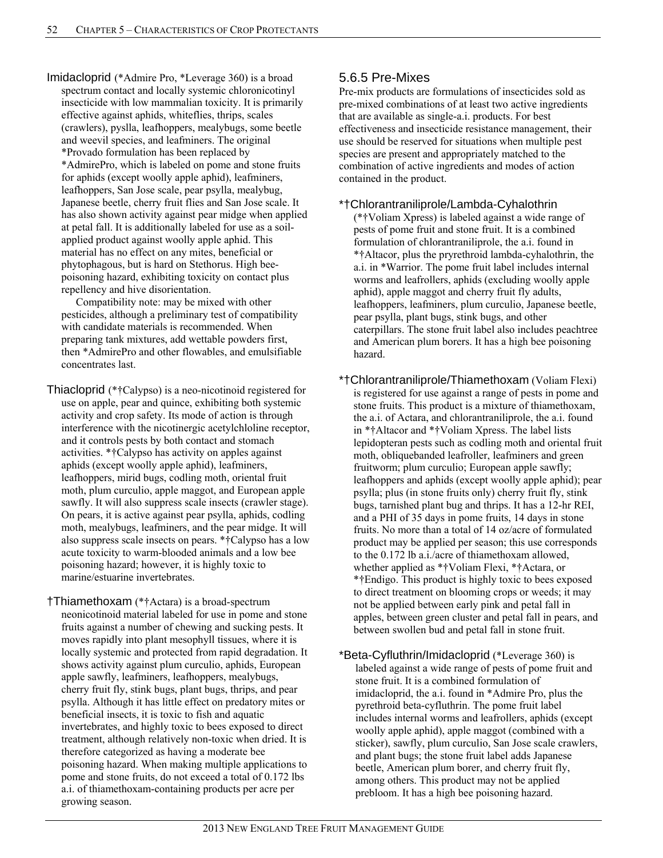Imidacloprid (\*Admire Pro, \*Leverage 360) is a broad spectrum contact and locally systemic chloronicotinyl insecticide with low mammalian toxicity. It is primarily effective against aphids, whiteflies, thrips, scales (crawlers), pyslla, leafhoppers, mealybugs, some beetle and weevil species, and leafminers. The original \*Provado formulation has been replaced by \*AdmirePro, which is labeled on pome and stone fruits for aphids (except woolly apple aphid), leafminers, leafhoppers, San Jose scale, pear psylla, mealybug, Japanese beetle, cherry fruit flies and San Jose scale. It has also shown activity against pear midge when applied at petal fall. It is additionally labeled for use as a soilapplied product against woolly apple aphid. This material has no effect on any mites, beneficial or phytophagous, but is hard on Stethorus. High beepoisoning hazard, exhibiting toxicity on contact plus repellency and hive disorientation.

 Compatibility note: may be mixed with other pesticides, although a preliminary test of compatibility with candidate materials is recommended. When preparing tank mixtures, add wettable powders first, then \*AdmirePro and other flowables, and emulsifiable concentrates last.

Thiacloprid (\*†Calypso) is a neo-nicotinoid registered for use on apple, pear and quince, exhibiting both systemic activity and crop safety. Its mode of action is through interference with the nicotinergic acetylchloline receptor, and it controls pests by both contact and stomach activities. \*†Calypso has activity on apples against aphids (except woolly apple aphid), leafminers, leafhoppers, mirid bugs, codling moth, oriental fruit moth, plum curculio, apple maggot, and European apple sawfly. It will also suppress scale insects (crawler stage). On pears, it is active against pear psylla, aphids, codling moth, mealybugs, leafminers, and the pear midge. It will also suppress scale insects on pears. \*†Calypso has a low acute toxicity to warm-blooded animals and a low bee poisoning hazard; however, it is highly toxic to marine/estuarine invertebrates.

†Thiamethoxam (\*†Actara) is a broad-spectrum neonicotinoid material labeled for use in pome and stone fruits against a number of chewing and sucking pests. It moves rapidly into plant mesophyll tissues, where it is locally systemic and protected from rapid degradation. It shows activity against plum curculio, aphids, European apple sawfly, leafminers, leafhoppers, mealybugs, cherry fruit fly, stink bugs, plant bugs, thrips, and pear psylla. Although it has little effect on predatory mites or beneficial insects, it is toxic to fish and aquatic invertebrates, and highly toxic to bees exposed to direct treatment, although relatively non-toxic when dried. It is therefore categorized as having a moderate bee poisoning hazard. When making multiple applications to pome and stone fruits, do not exceed a total of 0.172 lbs a.i. of thiamethoxam-containing products per acre per growing season.

# 5.6.5 Pre-Mixes

Pre-mix products are formulations of insecticides sold as pre-mixed combinations of at least two active ingredients that are available as single-a.i. products. For best effectiveness and insecticide resistance management, their use should be reserved for situations when multiple pest species are present and appropriately matched to the combination of active ingredients and modes of action contained in the product.

#### \*†Chlorantraniliprole/Lambda-Cyhalothrin

(\*†Voliam Xpress) is labeled against a wide range of pests of pome fruit and stone fruit. It is a combined formulation of chlorantraniliprole, the a.i. found in \*†Altacor, plus the pryrethroid lambda-cyhalothrin, the a.i. in \*Warrior. The pome fruit label includes internal worms and leafrollers, aphids (excluding woolly apple aphid), apple maggot and cherry fruit fly adults, leafhoppers, leafminers, plum curculio, Japanese beetle, pear psylla, plant bugs, stink bugs, and other caterpillars. The stone fruit label also includes peachtree and American plum borers. It has a high bee poisoning hazard.

\*†Chlorantraniliprole/Thiamethoxam (Voliam Flexi) is registered for use against a range of pests in pome and stone fruits. This product is a mixture of thiamethoxam, the a.i. of Actara, and chlorantraniliprole, the a.i. found in \*†Altacor and \*†Voliam Xpress. The label lists lepidopteran pests such as codling moth and oriental fruit moth, obliquebanded leafroller, leafminers and green fruitworm; plum curculio; European apple sawfly; leafhoppers and aphids (except woolly apple aphid); pear psylla; plus (in stone fruits only) cherry fruit fly, stink bugs, tarnished plant bug and thrips. It has a 12-hr REI, and a PHI of 35 days in pome fruits, 14 days in stone fruits. No more than a total of 14 oz/acre of formulated product may be applied per season; this use corresponds to the 0.172 lb a.i./acre of thiamethoxam allowed, whether applied as \*†Voliam Flexi, \*†Actara, or \*†Endigo. This product is highly toxic to bees exposed to direct treatment on blooming crops or weeds; it may not be applied between early pink and petal fall in apples, between green cluster and petal fall in pears, and between swollen bud and petal fall in stone fruit.

\*Beta-Cyfluthrin/Imidacloprid (\*Leverage 360) is labeled against a wide range of pests of pome fruit and stone fruit. It is a combined formulation of imidacloprid, the a.i. found in \*Admire Pro, plus the pyrethroid beta-cyfluthrin. The pome fruit label includes internal worms and leafrollers, aphids (except woolly apple aphid), apple maggot (combined with a sticker), sawfly, plum curculio, San Jose scale crawlers, and plant bugs; the stone fruit label adds Japanese beetle, American plum borer, and cherry fruit fly, among others. This product may not be applied prebloom. It has a high bee poisoning hazard.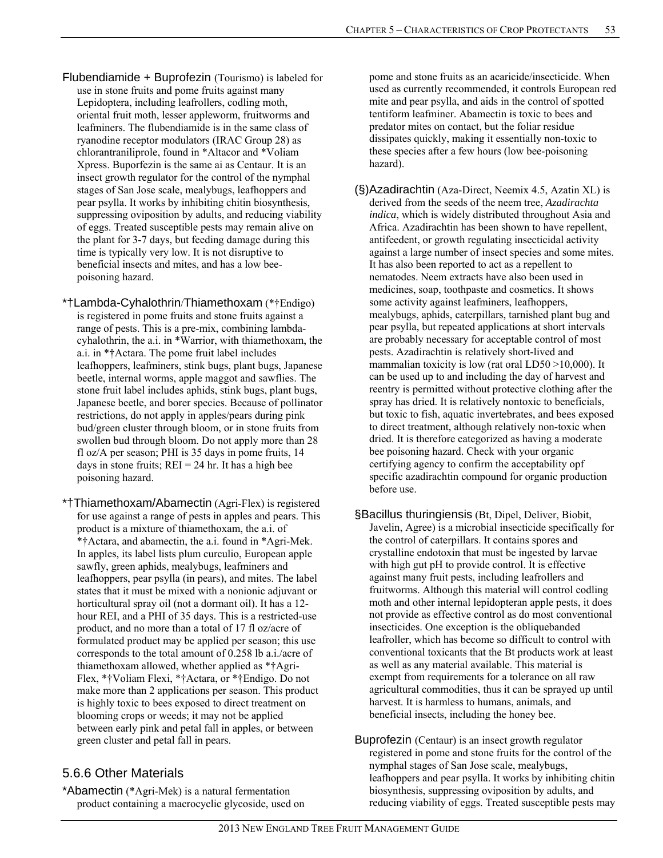- Flubendiamide + Buprofezin (Tourismo) is labeled for use in stone fruits and pome fruits against many Lepidoptera, including leafrollers, codling moth, oriental fruit moth, lesser appleworm, fruitworms and leafminers. The flubendiamide is in the same class of ryanodine receptor modulators (IRAC Group 28) as chlorantraniliprole, found in \*Altacor and \*Voliam Xpress. Buporfezin is the same ai as Centaur. It is an insect growth regulator for the control of the nymphal stages of San Jose scale, mealybugs, leafhoppers and pear psylla. It works by inhibiting chitin biosynthesis, suppressing oviposition by adults, and reducing viability of eggs. Treated susceptible pests may remain alive on the plant for 3-7 days, but feeding damage during this time is typically very low. It is not disruptive to beneficial insects and mites, and has a low beepoisoning hazard.
- \*†Lambda-Cyhalothrin/Thiamethoxam (\*†Endigo) is registered in pome fruits and stone fruits against a range of pests. This is a pre-mix, combining lambdacyhalothrin, the a.i. in \*Warrior, with thiamethoxam, the a.i. in \*†Actara. The pome fruit label includes leafhoppers, leafminers, stink bugs, plant bugs, Japanese beetle, internal worms, apple maggot and sawflies. The stone fruit label includes aphids, stink bugs, plant bugs, Japanese beetle, and borer species. Because of pollinator restrictions, do not apply in apples/pears during pink bud/green cluster through bloom, or in stone fruits from swollen bud through bloom. Do not apply more than 28 fl oz/A per season; PHI is 35 days in pome fruits, 14 days in stone fruits;  $REI = 24$  hr. It has a high bee poisoning hazard.
- \*†Thiamethoxam/Abamectin (Agri-Flex) is registered for use against a range of pests in apples and pears. This product is a mixture of thiamethoxam, the a.i. of \*†Actara, and abamectin, the a.i. found in \*Agri-Mek. In apples, its label lists plum curculio, European apple sawfly, green aphids, mealybugs, leafminers and leafhoppers, pear psylla (in pears), and mites. The label states that it must be mixed with a nonionic adjuvant or horticultural spray oil (not a dormant oil). It has a 12 hour REI, and a PHI of 35 days. This is a restricted-use product, and no more than a total of 17 fl oz/acre of formulated product may be applied per season; this use corresponds to the total amount of 0.258 lb a.i./acre of thiamethoxam allowed, whether applied as \*†Agri-Flex, \*†Voliam Flexi, \*†Actara, or \*†Endigo. Do not make more than 2 applications per season. This product is highly toxic to bees exposed to direct treatment on blooming crops or weeds; it may not be applied between early pink and petal fall in apples, or between green cluster and petal fall in pears.

# 5.6.6 Other Materials

\*Abamectin (\*Agri-Mek) is a natural fermentation product containing a macrocyclic glycoside, used on pome and stone fruits as an acaricide/insecticide. When used as currently recommended, it controls European red mite and pear psylla, and aids in the control of spotted tentiform leafminer. Abamectin is toxic to bees and predator mites on contact, but the foliar residue dissipates quickly, making it essentially non-toxic to these species after a few hours (low bee-poisoning hazard).

- (§)Azadirachtin (Aza-Direct, Neemix 4.5, Azatin XL) is derived from the seeds of the neem tree, *Azadirachta indica*, which is widely distributed throughout Asia and Africa. Azadirachtin has been shown to have repellent, antifeedent, or growth regulating insecticidal activity against a large number of insect species and some mites. It has also been reported to act as a repellent to nematodes. Neem extracts have also been used in medicines, soap, toothpaste and cosmetics. It shows some activity against leafminers, leafhoppers, mealybugs, aphids, caterpillars, tarnished plant bug and pear psylla, but repeated applications at short intervals are probably necessary for acceptable control of most pests. Azadirachtin is relatively short-lived and mammalian toxicity is low (rat oral LD50 >10,000). It can be used up to and including the day of harvest and reentry is permitted without protective clothing after the spray has dried. It is relatively nontoxic to beneficials, but toxic to fish, aquatic invertebrates, and bees exposed to direct treatment, although relatively non-toxic when dried. It is therefore categorized as having a moderate bee poisoning hazard. Check with your organic certifying agency to confirm the acceptability opf specific azadirachtin compound for organic production before use.
- §Bacillus thuringiensis (Bt, Dipel, Deliver, Biobit, Javelin, Agree) is a microbial insecticide specifically for the control of caterpillars. It contains spores and crystalline endotoxin that must be ingested by larvae with high gut pH to provide control. It is effective against many fruit pests, including leafrollers and fruitworms. Although this material will control codling moth and other internal lepidopteran apple pests, it does not provide as effective control as do most conventional insecticides. One exception is the obliquebanded leafroller, which has become so difficult to control with conventional toxicants that the Bt products work at least as well as any material available. This material is exempt from requirements for a tolerance on all raw agricultural commodities, thus it can be sprayed up until harvest. It is harmless to humans, animals, and beneficial insects, including the honey bee.
- Buprofezin (Centaur) is an insect growth regulator registered in pome and stone fruits for the control of the nymphal stages of San Jose scale, mealybugs, leafhoppers and pear psylla. It works by inhibiting chitin biosynthesis, suppressing oviposition by adults, and reducing viability of eggs. Treated susceptible pests may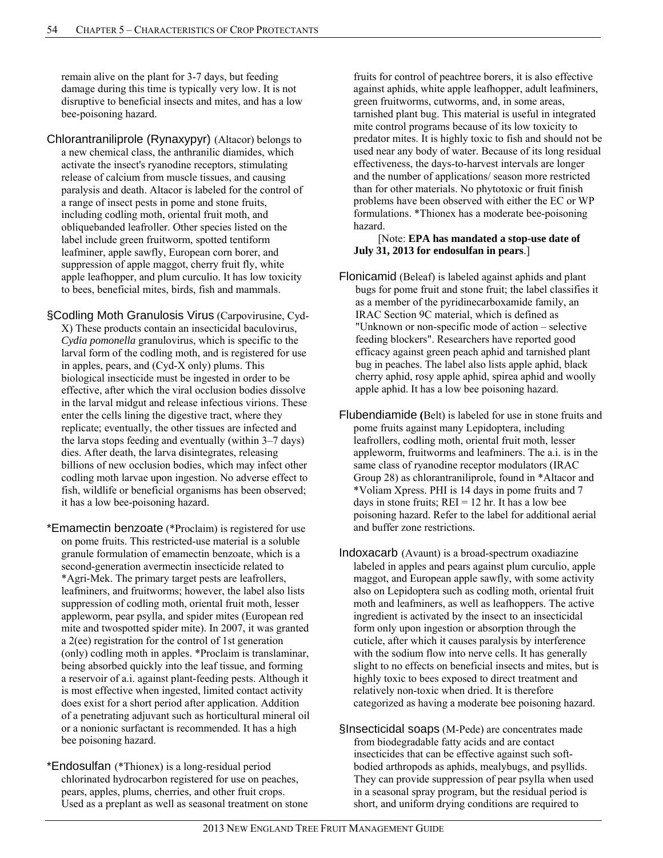remain alive on the plant for 3-7 days, but feeding damage during this time is typically very low. It is not disruptive to beneficial insects and mites, and has a low bee-poisoning hazard.

Chlorantraniliprole (Rynaxypyr) (Altacor) belongs to a new chemical class, the anthranilic diamides, which activate the insect's ryanodine receptors, stimulating release of calcium from muscle tissues, and causing paralysis and death. Altacor is labeled for the control of a range of insect pests in pome and stone fruits, including codling moth, oriental fruit moth, and obliquebanded leafroller. Other species listed on the label include green fruitworm, spotted tentiform leafminer, apple sawfly, European corn borer, and suppression of apple maggot, cherry fruit fly, white apple leafhopper, and plum curculio. It has low toxicity to bees, beneficial mites, birds, fish and mammals.

§Codling Moth Granulosis Virus (Carpovirusine, Cyd-X) These products contain an insecticidal baculovirus, *Cydia pomonella* granulovirus, which is specific to the larval form of the codling moth, and is registered for use in apples, pears, and (Cyd-X only) plums. This biological insecticide must be ingested in order to be effective, after which the viral occlusion bodies dissolve in the larval midgut and release infectious virions. These enter the cells lining the digestive tract, where they replicate; eventually, the other tissues are infected and the larva stops feeding and eventually (within 3–7 days) dies. After death, the larva disintegrates, releasing billions of new occlusion bodies, which may infect other codling moth larvae upon ingestion. No adverse effect to fish, wildlife or beneficial organisms has been observed; it has a low bee-poisoning hazard.

- \*Emamectin benzoate (\*Proclaim) is registered for use on pome fruits. This restricted-use material is a soluble granule formulation of emamectin benzoate, which is a second-generation avermectin insecticide related to \*Agri-Mek. The primary target pests are leafrollers, leafminers, and fruitworms; however, the label also lists suppression of codling moth, oriental fruit moth, lesser appleworm, pear psylla, and spider mites (European red mite and twospotted spider mite). In 2007, it was granted a 2(ee) registration for the control of 1st generation (only) codling moth in apples. \*Proclaim is translaminar, being absorbed quickly into the leaf tissue, and forming a reservoir of a.i. against plant-feeding pests. Although it is most effective when ingested, limited contact activity does exist for a short period after application. Addition of a penetrating adjuvant such as horticultural mineral oil or a nonionic surfactant is recommended. It has a high bee poisoning hazard.
- \*Endosulfan (\*Thionex) is a long-residual period chlorinated hydrocarbon registered for use on peaches, pears, apples, plums, cherries, and other fruit crops. Used as a preplant as well as seasonal treatment on stone

fruits for control of peachtree borers, it is also effective against aphids, white apple leafhopper, adult leafminers, green fruitworms, cutworms, and, in some areas, tarnished plant bug. This material is useful in integrated mite control programs because of its low toxicity to predator mites. It is highly toxic to fish and should not be used near any body of water. Because of its long residual effectiveness, the days-to-harvest intervals are longer and the number of applications/ season more restricted than for other materials. No phytotoxic or fruit finish problems have been observed with either the EC or WP formulations. \*Thionex has a moderate bee-poisoning hazard.

#### [Note: **EPA has mandated a stop-use date of July 31, 2013 for endosulfan in pears**.]

- Flonicamid (Beleaf) is labeled against aphids and plant bugs for pome fruit and stone fruit; the label classifies it as a member of the pyridinecarboxamide family, an IRAC Section 9C material, which is defined as "Unknown or non-specific mode of action – selective feeding blockers". Researchers have reported good efficacy against green peach aphid and tarnished plant bug in peaches. The label also lists apple aphid, black cherry aphid, rosy apple aphid, spirea aphid and woolly apple aphid. It has a low bee poisoning hazard.
- Flubendiamide **(**Belt) is labeled for use in stone fruits and pome fruits against many Lepidoptera, including leafrollers, codling moth, oriental fruit moth, lesser appleworm, fruitworms and leafminers. The a.i. is in the same class of ryanodine receptor modulators (IRAC Group 28) as chlorantraniliprole, found in \*Altacor and \*Voliam Xpress. PHI is 14 days in pome fruits and 7 days in stone fruits;  $REI = 12$  hr. It has a low bee poisoning hazard. Refer to the label for additional aerial and buffer zone restrictions.
- Indoxacarb (Avaunt) is a broad-spectrum oxadiazine labeled in apples and pears against plum curculio, apple maggot, and European apple sawfly, with some activity also on Lepidoptera such as codling moth, oriental fruit moth and leafminers, as well as leafhoppers. The active ingredient is activated by the insect to an insecticidal form only upon ingestion or absorption through the cuticle, after which it causes paralysis by interference with the sodium flow into nerve cells. It has generally slight to no effects on beneficial insects and mites, but is highly toxic to bees exposed to direct treatment and relatively non-toxic when dried. It is therefore categorized as having a moderate bee poisoning hazard.
- §Insecticidal soaps (M-Pede) are concentrates made from biodegradable fatty acids and are contact insecticides that can be effective against such softbodied arthropods as aphids, mealybugs, and psyllids. They can provide suppression of pear psylla when used in a seasonal spray program, but the residual period is short, and uniform drying conditions are required to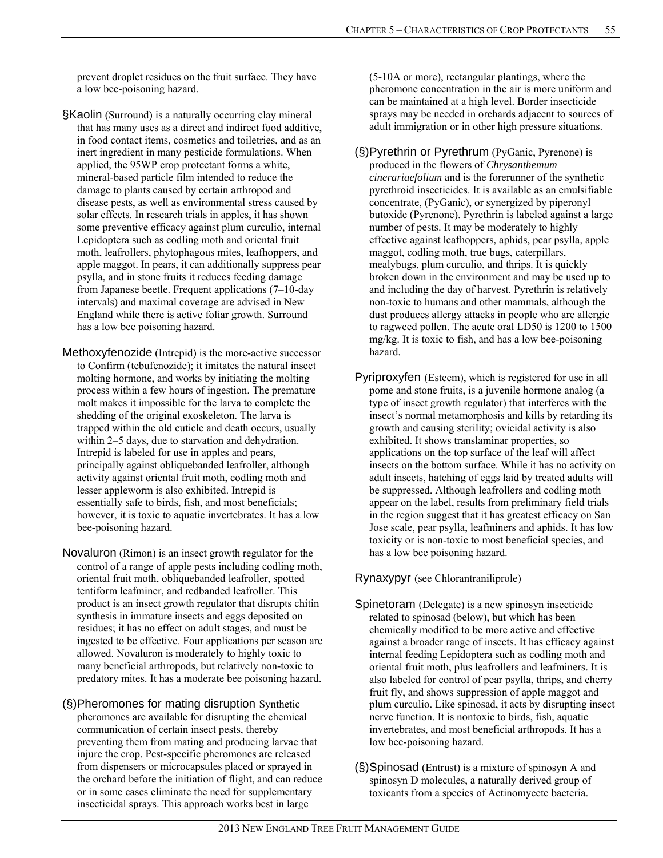prevent droplet residues on the fruit surface. They have a low bee-poisoning hazard.

- §Kaolin (Surround) is a naturally occurring clay mineral that has many uses as a direct and indirect food additive, in food contact items, cosmetics and toiletries, and as an inert ingredient in many pesticide formulations. When applied, the 95WP crop protectant forms a white, mineral-based particle film intended to reduce the damage to plants caused by certain arthropod and disease pests, as well as environmental stress caused by solar effects. In research trials in apples, it has shown some preventive efficacy against plum curculio, internal Lepidoptera such as codling moth and oriental fruit moth, leafrollers, phytophagous mites, leafhoppers, and apple maggot. In pears, it can additionally suppress pear psylla, and in stone fruits it reduces feeding damage from Japanese beetle. Frequent applications (7–10-day intervals) and maximal coverage are advised in New England while there is active foliar growth. Surround has a low bee poisoning hazard.
- Methoxyfenozide (Intrepid) is the more-active successor to Confirm (tebufenozide); it imitates the natural insect molting hormone, and works by initiating the molting process within a few hours of ingestion. The premature molt makes it impossible for the larva to complete the shedding of the original exoskeleton. The larva is trapped within the old cuticle and death occurs, usually within 2–5 days, due to starvation and dehydration. Intrepid is labeled for use in apples and pears, principally against obliquebanded leafroller, although activity against oriental fruit moth, codling moth and lesser appleworm is also exhibited. Intrepid is essentially safe to birds, fish, and most beneficials; however, it is toxic to aquatic invertebrates. It has a low bee-poisoning hazard.
- Novaluron (Rimon) is an insect growth regulator for the control of a range of apple pests including codling moth, oriental fruit moth, obliquebanded leafroller, spotted tentiform leafminer, and redbanded leafroller. This product is an insect growth regulator that disrupts chitin synthesis in immature insects and eggs deposited on residues; it has no effect on adult stages, and must be ingested to be effective. Four applications per season are allowed. Novaluron is moderately to highly toxic to many beneficial arthropods, but relatively non-toxic to predatory mites. It has a moderate bee poisoning hazard.
- (§)Pheromones for mating disruption Synthetic pheromones are available for disrupting the chemical communication of certain insect pests, thereby preventing them from mating and producing larvae that injure the crop. Pest-specific pheromones are released from dispensers or microcapsules placed or sprayed in the orchard before the initiation of flight, and can reduce or in some cases eliminate the need for supplementary insecticidal sprays. This approach works best in large

(5-10A or more), rectangular plantings, where the pheromone concentration in the air is more uniform and can be maintained at a high level. Border insecticide sprays may be needed in orchards adjacent to sources of adult immigration or in other high pressure situations.

- (§)Pyrethrin or Pyrethrum (PyGanic, Pyrenone) is produced in the flowers of *Chrysanthemum cinerariaefolium* and is the forerunner of the synthetic pyrethroid insecticides. It is available as an emulsifiable concentrate, (PyGanic), or synergized by piperonyl butoxide (Pyrenone). Pyrethrin is labeled against a large number of pests. It may be moderately to highly effective against leafhoppers, aphids, pear psylla, apple maggot, codling moth, true bugs, caterpillars, mealybugs, plum curculio, and thrips. It is quickly broken down in the environment and may be used up to and including the day of harvest. Pyrethrin is relatively non-toxic to humans and other mammals, although the dust produces allergy attacks in people who are allergic to ragweed pollen. The acute oral LD50 is 1200 to 1500 mg/kg. It is toxic to fish, and has a low bee-poisoning hazard.
- Pyriproxyfen (Esteem), which is registered for use in all pome and stone fruits, is a juvenile hormone analog (a type of insect growth regulator) that interferes with the insect's normal metamorphosis and kills by retarding its growth and causing sterility; ovicidal activity is also exhibited. It shows translaminar properties, so applications on the top surface of the leaf will affect insects on the bottom surface. While it has no activity on adult insects, hatching of eggs laid by treated adults will be suppressed. Although leafrollers and codling moth appear on the label, results from preliminary field trials in the region suggest that it has greatest efficacy on San Jose scale, pear psylla, leafminers and aphids. It has low toxicity or is non-toxic to most beneficial species, and has a low bee poisoning hazard.

Rynaxypyr (see Chlorantraniliprole)

- Spinetoram (Delegate) is a new spinosyn insecticide related to spinosad (below), but which has been chemically modified to be more active and effective against a broader range of insects. It has efficacy against internal feeding Lepidoptera such as codling moth and oriental fruit moth, plus leafrollers and leafminers. It is also labeled for control of pear psylla, thrips, and cherry fruit fly, and shows suppression of apple maggot and plum curculio. Like spinosad, it acts by disrupting insect nerve function. It is nontoxic to birds, fish, aquatic invertebrates, and most beneficial arthropods. It has a low bee-poisoning hazard.
- (§)Spinosad (Entrust) is a mixture of spinosyn A and spinosyn D molecules, a naturally derived group of toxicants from a species of Actinomycete bacteria.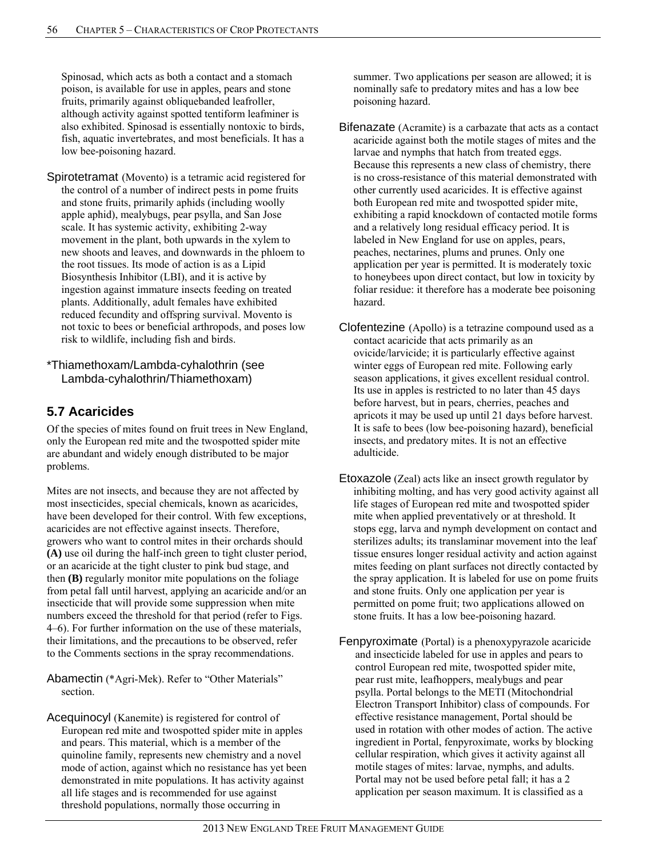Spinosad, which acts as both a contact and a stomach poison, is available for use in apples, pears and stone fruits, primarily against obliquebanded leafroller, although activity against spotted tentiform leafminer is also exhibited. Spinosad is essentially nontoxic to birds, fish, aquatic invertebrates, and most beneficials. It has a low bee-poisoning hazard.

Spirotetramat (Movento) is a tetramic acid registered for the control of a number of indirect pests in pome fruits and stone fruits, primarily aphids (including woolly apple aphid), mealybugs, pear psylla, and San Jose scale. It has systemic activity, exhibiting 2-way movement in the plant, both upwards in the xylem to new shoots and leaves, and downwards in the phloem to the root tissues. Its mode of action is as a Lipid Biosynthesis Inhibitor (LBI), and it is active by ingestion against immature insects feeding on treated plants. Additionally, adult females have exhibited reduced fecundity and offspring survival. Movento is not toxic to bees or beneficial arthropods, and poses low risk to wildlife, including fish and birds.

\*Thiamethoxam/Lambda-cyhalothrin (see Lambda-cyhalothrin/Thiamethoxam)

# **5.7 Acaricides**

Of the species of mites found on fruit trees in New England, only the European red mite and the twospotted spider mite are abundant and widely enough distributed to be major problems.

Mites are not insects, and because they are not affected by most insecticides, special chemicals, known as acaricides, have been developed for their control. With few exceptions, acaricides are not effective against insects. Therefore, growers who want to control mites in their orchards should **(A)** use oil during the half-inch green to tight cluster period, or an acaricide at the tight cluster to pink bud stage, and then **(B)** regularly monitor mite populations on the foliage from petal fall until harvest, applying an acaricide and/or an insecticide that will provide some suppression when mite numbers exceed the threshold for that period (refer to Figs. 4–6). For further information on the use of these materials, their limitations, and the precautions to be observed, refer to the Comments sections in the spray recommendations.

Abamectin (\*Agri-Mek). Refer to "Other Materials" section.

Acequinocyl (Kanemite) is registered for control of European red mite and twospotted spider mite in apples and pears. This material, which is a member of the quinoline family, represents new chemistry and a novel mode of action, against which no resistance has yet been demonstrated in mite populations. It has activity against all life stages and is recommended for use against threshold populations, normally those occurring in

summer. Two applications per season are allowed; it is nominally safe to predatory mites and has a low bee poisoning hazard.

- Bifenazate (Acramite) is a carbazate that acts as a contact acaricide against both the motile stages of mites and the larvae and nymphs that hatch from treated eggs. Because this represents a new class of chemistry, there is no cross-resistance of this material demonstrated with other currently used acaricides. It is effective against both European red mite and twospotted spider mite, exhibiting a rapid knockdown of contacted motile forms and a relatively long residual efficacy period. It is labeled in New England for use on apples, pears, peaches, nectarines, plums and prunes. Only one application per year is permitted. It is moderately toxic to honeybees upon direct contact, but low in toxicity by foliar residue: it therefore has a moderate bee poisoning hazard.
- Clofentezine (Apollo) is a tetrazine compound used as a contact acaricide that acts primarily as an ovicide/larvicide; it is particularly effective against winter eggs of European red mite. Following early season applications, it gives excellent residual control. Its use in apples is restricted to no later than 45 days before harvest, but in pears, cherries, peaches and apricots it may be used up until 21 days before harvest. It is safe to bees (low bee-poisoning hazard), beneficial insects, and predatory mites. It is not an effective adulticide.
- Etoxazole (Zeal) acts like an insect growth regulator by inhibiting molting, and has very good activity against all life stages of European red mite and twospotted spider mite when applied preventatively or at threshold. It stops egg, larva and nymph development on contact and sterilizes adults; its translaminar movement into the leaf tissue ensures longer residual activity and action against mites feeding on plant surfaces not directly contacted by the spray application. It is labeled for use on pome fruits and stone fruits. Only one application per year is permitted on pome fruit; two applications allowed on stone fruits. It has a low bee-poisoning hazard.
- Fenpyroximate (Portal) is a phenoxypyrazole acaricide and insecticide labeled for use in apples and pears to control European red mite, twospotted spider mite, pear rust mite, leafhoppers, mealybugs and pear psylla. Portal belongs to the METI (Mitochondrial Electron Transport Inhibitor) class of compounds. For effective resistance management, Portal should be used in rotation with other modes of action. The active ingredient in Portal, fenpyroximate*,* works by blocking cellular respiration, which gives it activity against all motile stages of mites: larvae, nymphs, and adults. Portal may not be used before petal fall; it has a 2 application per season maximum. It is classified as a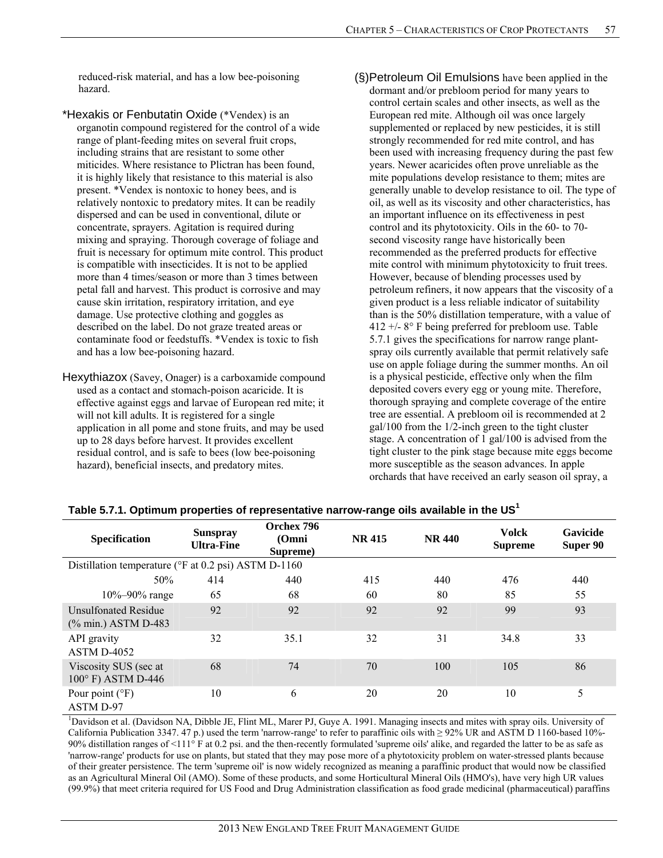reduced-risk material, and has a low bee-poisoning hazard.

\*Hexakis or Fenbutatin Oxide (\*Vendex) is an organotin compound registered for the control of a wide range of plant-feeding mites on several fruit crops, including strains that are resistant to some other miticides. Where resistance to Plictran has been found, it is highly likely that resistance to this material is also present. \*Vendex is nontoxic to honey bees, and is relatively nontoxic to predatory mites. It can be readily dispersed and can be used in conventional, dilute or concentrate, sprayers. Agitation is required during mixing and spraying. Thorough coverage of foliage and fruit is necessary for optimum mite control. This product is compatible with insecticides. It is not to be applied more than 4 times/season or more than 3 times between petal fall and harvest. This product is corrosive and may cause skin irritation, respiratory irritation, and eye damage. Use protective clothing and goggles as described on the label. Do not graze treated areas or contaminate food or feedstuffs. \*Vendex is toxic to fish and has a low bee-poisoning hazard.

- Hexythiazox (Savey, Onager) is a carboxamide compound used as a contact and stomach-poison acaricide. It is effective against eggs and larvae of European red mite; it will not kill adults. It is registered for a single application in all pome and stone fruits, and may be used up to 28 days before harvest. It provides excellent residual control, and is safe to bees (low bee-poisoning hazard), beneficial insects, and predatory mites.
- (§)Petroleum Oil Emulsions have been applied in the dormant and/or prebloom period for many years to control certain scales and other insects, as well as the European red mite. Although oil was once largely supplemented or replaced by new pesticides, it is still strongly recommended for red mite control, and has been used with increasing frequency during the past few years. Newer acaricides often prove unreliable as the mite populations develop resistance to them; mites are generally unable to develop resistance to oil. The type of oil, as well as its viscosity and other characteristics, has an important influence on its effectiveness in pest control and its phytotoxicity. Oils in the 60- to 70 second viscosity range have historically been recommended as the preferred products for effective mite control with minimum phytotoxicity to fruit trees. However, because of blending processes used by petroleum refiners, it now appears that the viscosity of a given product is a less reliable indicator of suitability than is the 50% distillation temperature, with a value of 412 +/- 8° F being preferred for prebloom use. Table 5.7.1 gives the specifications for narrow range plantspray oils currently available that permit relatively safe use on apple foliage during the summer months. An oil is a physical pesticide, effective only when the film deposited covers every egg or young mite. Therefore, thorough spraying and complete coverage of the entire tree are essential. A prebloom oil is recommended at 2 gal/100 from the 1/2-inch green to the tight cluster stage. A concentration of 1 gal/100 is advised from the tight cluster to the pink stage because mite eggs become more susceptible as the season advances. In apple orchards that have received an early season oil spray, a

| Specification                                        | <b>Sunspray</b><br><b>Ultra-Fine</b> | Orchex 796<br>(Omni<br>Supreme) | <b>NR 415</b> | <b>NR 440</b> | <b>Volck</b><br><b>Supreme</b> | <b>Gavicide</b><br>Super 90 |  |  |
|------------------------------------------------------|--------------------------------------|---------------------------------|---------------|---------------|--------------------------------|-----------------------------|--|--|
| Distillation temperature (°F at 0.2 psi) ASTM D-1160 |                                      |                                 |               |               |                                |                             |  |  |
| 50%                                                  | 414                                  | 440                             | 415           | 440           | 476                            | 440                         |  |  |
| $10\% - 90\%$ range                                  | 65                                   | 68                              | 60            | 80            | 85                             | 55                          |  |  |
| <b>Unsulfonated Residue</b><br>(% min.) ASTM D-483   | 92                                   | 92                              | 92            | 92            | 99                             | 93                          |  |  |
| API gravity<br>ASTM D-4052                           | 32                                   | 35.1                            | 32            | 31            | 34.8                           | 33                          |  |  |
| Viscosity SUS (sec at<br>100° F) ASTM D-446          | 68                                   | 74                              | 70            | 100           | 105                            | 86                          |  |  |
| Pour point $(^{\circ}F)$<br><b>ASTM D-97</b>         | 10                                   | 6                               | 20            | 20            | 10                             | 5                           |  |  |

#### **Table 5.7.1. Optimum properties of representative narrow-range oils available in the US<sup>1</sup>**

<sup>1</sup>Davidson et al. (Davidson NA, Dibble JE, Flint ML, Marer PJ, Guye A. 1991. Managing insects and mites with spray oils. University of California Publication 3347. 47 p.) used the term 'narrow-range' to refer to paraffinic oils with ≥ 92% UR and ASTM D 1160-based 10%- 90% distillation ranges of <111° F at 0.2 psi. and the then-recently formulated 'supreme oils' alike, and regarded the latter to be as safe as 'narrow-range' products for use on plants, but stated that they may pose more of a phytotoxicity problem on water-stressed plants because of their greater persistence. The term 'supreme oil' is now widely recognized as meaning a paraffinic product that would now be classified as an Agricultural Mineral Oil (AMO). Some of these products, and some Horticultural Mineral Oils (HMO's), have very high UR values (99.9%) that meet criteria required for US Food and Drug Administration classification as food grade medicinal (pharmaceutical) paraffins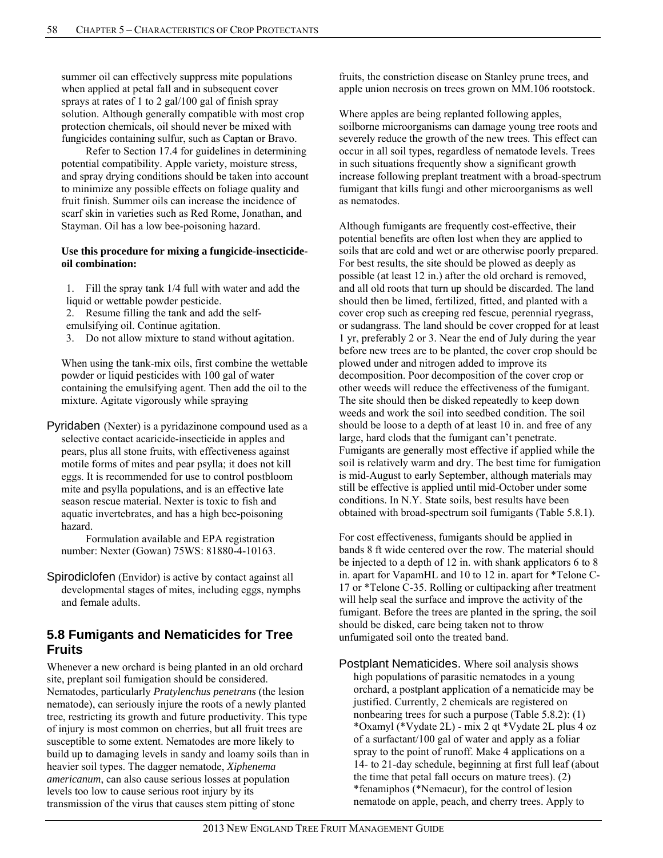summer oil can effectively suppress mite populations when applied at petal fall and in subsequent cover sprays at rates of 1 to 2 gal/100 gal of finish spray solution. Although generally compatible with most crop protection chemicals, oil should never be mixed with fungicides containing sulfur, such as Captan or Bravo.

 Refer to Section 17.4 for guidelines in determining potential compatibility. Apple variety, moisture stress, and spray drying conditions should be taken into account to minimize any possible effects on foliage quality and fruit finish. Summer oils can increase the incidence of scarf skin in varieties such as Red Rome, Jonathan, and Stayman. Oil has a low bee-poisoning hazard.

#### **Use this procedure for mixing a fungicide-insecticideoil combination:**

- 1. Fill the spray tank 1/4 full with water and add the liquid or wettable powder pesticide.
- 2. Resume filling the tank and add the self-
- emulsifying oil. Continue agitation.
- 3. Do not allow mixture to stand without agitation.

When using the tank-mix oils, first combine the wettable powder or liquid pesticides with 100 gal of water containing the emulsifying agent. Then add the oil to the mixture. Agitate vigorously while spraying

Pyridaben (Nexter) is a pyridazinone compound used as a selective contact acaricide-insecticide in apples and pears, plus all stone fruits, with effectiveness against motile forms of mites and pear psylla; it does not kill eggs. It is recommended for use to control postbloom mite and psylla populations, and is an effective late season rescue material. Nexter is toxic to fish and aquatic invertebrates, and has a high bee-poisoning hazard.

Formulation available and EPA registration number: Nexter (Gowan) 75WS: 81880-4-10163.

Spirodiclofen (Envidor) is active by contact against all developmental stages of mites, including eggs, nymphs and female adults.

# **5.8 Fumigants and Nematicides for Tree Fruits**

Whenever a new orchard is being planted in an old orchard site, preplant soil fumigation should be considered. Nematodes, particularly *Pratylenchus penetrans* (the lesion nematode), can seriously injure the roots of a newly planted tree, restricting its growth and future productivity. This type of injury is most common on cherries, but all fruit trees are susceptible to some extent. Nematodes are more likely to build up to damaging levels in sandy and loamy soils than in heavier soil types. The dagger nematode, *Xiphenema americanum*, can also cause serious losses at population levels too low to cause serious root injury by its transmission of the virus that causes stem pitting of stone

fruits, the constriction disease on Stanley prune trees, and apple union necrosis on trees grown on MM.106 rootstock.

Where apples are being replanted following apples, soilborne microorganisms can damage young tree roots and severely reduce the growth of the new trees. This effect can occur in all soil types, regardless of nematode levels. Trees in such situations frequently show a significant growth increase following preplant treatment with a broad-spectrum fumigant that kills fungi and other microorganisms as well as nematodes.

Although fumigants are frequently cost-effective, their potential benefits are often lost when they are applied to soils that are cold and wet or are otherwise poorly prepared. For best results, the site should be plowed as deeply as possible (at least 12 in.) after the old orchard is removed, and all old roots that turn up should be discarded. The land should then be limed, fertilized, fitted, and planted with a cover crop such as creeping red fescue, perennial ryegrass, or sudangrass. The land should be cover cropped for at least 1 yr, preferably 2 or 3. Near the end of July during the year before new trees are to be planted, the cover crop should be plowed under and nitrogen added to improve its decomposition. Poor decomposition of the cover crop or other weeds will reduce the effectiveness of the fumigant. The site should then be disked repeatedly to keep down weeds and work the soil into seedbed condition. The soil should be loose to a depth of at least 10 in. and free of any large, hard clods that the fumigant can't penetrate. Fumigants are generally most effective if applied while the soil is relatively warm and dry. The best time for fumigation is mid-August to early September, although materials may still be effective is applied until mid-October under some conditions. In N.Y. State soils, best results have been obtained with broad-spectrum soil fumigants (Table 5.8.1).

For cost effectiveness, fumigants should be applied in bands 8 ft wide centered over the row. The material should be injected to a depth of 12 in. with shank applicators 6 to 8 in. apart for VapamHL and 10 to 12 in. apart for \*Telone C-17 or \*Telone C-35. Rolling or cultipacking after treatment will help seal the surface and improve the activity of the fumigant. Before the trees are planted in the spring, the soil should be disked, care being taken not to throw unfumigated soil onto the treated band.

Postplant Nematicides. Where soil analysis shows high populations of parasitic nematodes in a young orchard, a postplant application of a nematicide may be justified. Currently, 2 chemicals are registered on nonbearing trees for such a purpose (Table 5.8.2): (1) \*Oxamyl (\*Vydate 2L) - mix 2 qt \*Vydate 2L plus 4 oz of a surfactant/100 gal of water and apply as a foliar spray to the point of runoff. Make 4 applications on a 14- to 21-day schedule, beginning at first full leaf (about the time that petal fall occurs on mature trees). (2) \*fenamiphos (\*Nemacur), for the control of lesion nematode on apple, peach, and cherry trees. Apply to